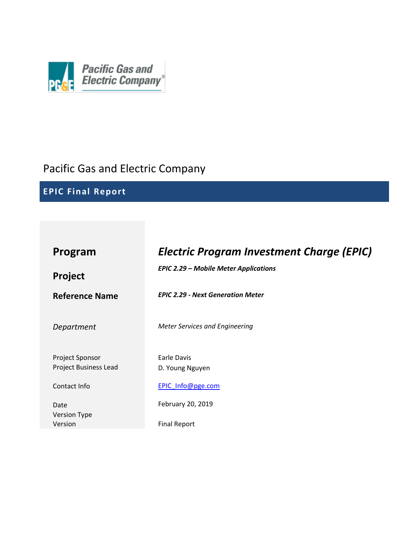

# Pacific Gas and Electric Company

# **EPIC Final Report**

| Program                                  | <b>Electric Program Investment Charge (EPIC)</b> |
|------------------------------------------|--------------------------------------------------|
| <b>Project</b>                           | <b>EPIC 2.29 - Mobile Meter Applications</b>     |
| <b>Reference Name</b>                    | <b>EPIC 2.29 - Next Generation Meter</b>         |
| Department                               | <b>Meter Services and Engineering</b>            |
| Project Sponsor<br>Project Business Lead | Earle Davis<br>D. Young Nguyen                   |
| Contact Info                             | EPIC Info@pge.com                                |
| Date<br><b>Version Type</b>              | February 20, 2019                                |
| Version                                  | <b>Final Report</b>                              |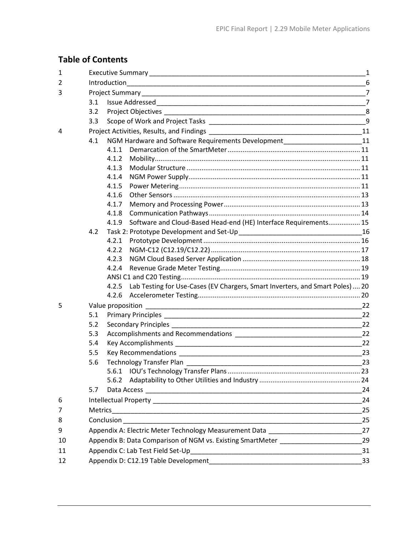## **Table of Contents**

| 1  |                                                                                     |          |  |  |  |  |  |
|----|-------------------------------------------------------------------------------------|----------|--|--|--|--|--|
| 2  |                                                                                     |          |  |  |  |  |  |
| 3  |                                                                                     |          |  |  |  |  |  |
|    | 3.1                                                                                 |          |  |  |  |  |  |
|    | 3.2                                                                                 |          |  |  |  |  |  |
|    | 3.3                                                                                 |          |  |  |  |  |  |
| 4  |                                                                                     |          |  |  |  |  |  |
|    | NGM Hardware and Software Requirements Development________________________11<br>4.1 |          |  |  |  |  |  |
|    | 4.1.1                                                                               |          |  |  |  |  |  |
|    | 4.1.2                                                                               |          |  |  |  |  |  |
|    | 4.1.3                                                                               |          |  |  |  |  |  |
|    | 4.1.4                                                                               |          |  |  |  |  |  |
|    | 4.1.5                                                                               |          |  |  |  |  |  |
|    | 4.1.6                                                                               |          |  |  |  |  |  |
|    | 4.1.7                                                                               |          |  |  |  |  |  |
|    | 4.1.8                                                                               |          |  |  |  |  |  |
|    | Software and Cloud-Based Head-end (HE) Interface Requirements 15<br>4.1.9           |          |  |  |  |  |  |
|    | 4.2                                                                                 |          |  |  |  |  |  |
|    | 4.2.1                                                                               |          |  |  |  |  |  |
|    | 4.2.2<br>4.2.3                                                                      |          |  |  |  |  |  |
|    | 4.2.4                                                                               |          |  |  |  |  |  |
|    |                                                                                     |          |  |  |  |  |  |
|    | 4.2.5 Lab Testing for Use-Cases (EV Chargers, Smart Inverters, and Smart Poles)  20 |          |  |  |  |  |  |
|    | 4.2.6                                                                               |          |  |  |  |  |  |
| 5  |                                                                                     |          |  |  |  |  |  |
|    | 5.1                                                                                 | 22       |  |  |  |  |  |
|    | 5.2                                                                                 |          |  |  |  |  |  |
|    | 5.3                                                                                 |          |  |  |  |  |  |
|    | 5.4                                                                                 | 22       |  |  |  |  |  |
|    | 5.5                                                                                 |          |  |  |  |  |  |
|    | 5.6                                                                                 | 23       |  |  |  |  |  |
|    |                                                                                     |          |  |  |  |  |  |
|    | 5.6.2                                                                               |          |  |  |  |  |  |
|    | 5.7                                                                                 | 24       |  |  |  |  |  |
| 6  |                                                                                     | 24       |  |  |  |  |  |
| 7  |                                                                                     |          |  |  |  |  |  |
| 8  |                                                                                     | 25<br>25 |  |  |  |  |  |
| 9  |                                                                                     |          |  |  |  |  |  |
| 10 | Appendix B: Data Comparison of NGM vs. Existing SmartMeter _____________________    |          |  |  |  |  |  |
| 11 |                                                                                     | 29       |  |  |  |  |  |
| 12 |                                                                                     | 33       |  |  |  |  |  |
|    |                                                                                     |          |  |  |  |  |  |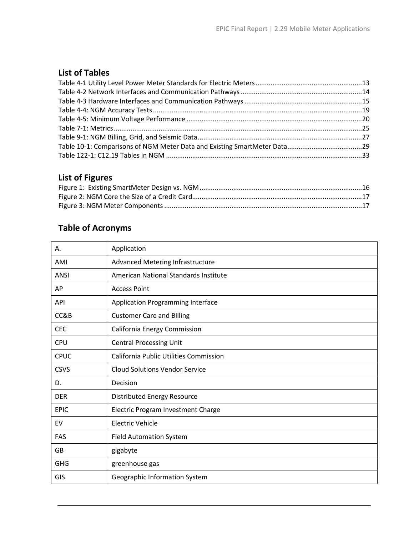## **List of Tables**

## **List of Figures**

## **Table of Acronyms**

| Α.          | Application                            |
|-------------|----------------------------------------|
| AMI         | Advanced Metering Infrastructure       |
| <b>ANSI</b> | American National Standards Institute  |
| AP          | <b>Access Point</b>                    |
| <b>API</b>  | Application Programming Interface      |
| CC&B        | <b>Customer Care and Billing</b>       |
| <b>CEC</b>  | California Energy Commission           |
| <b>CPU</b>  | <b>Central Processing Unit</b>         |
| <b>CPUC</b> | California Public Utilities Commission |
| <b>CSVS</b> | <b>Cloud Solutions Vendor Service</b>  |
| D.          | Decision                               |
| <b>DER</b>  | <b>Distributed Energy Resource</b>     |
| <b>EPIC</b> | Electric Program Investment Charge     |
| EV          | <b>Electric Vehicle</b>                |
| <b>FAS</b>  | <b>Field Automation System</b>         |
| <b>GB</b>   | gigabyte                               |
| <b>GHG</b>  | greenhouse gas                         |
| GIS         | Geographic Information System          |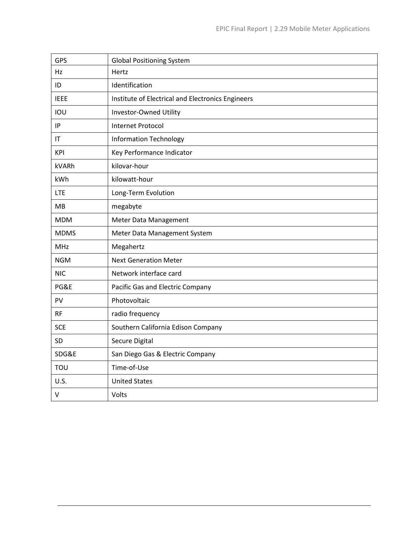| <b>GPS</b>  | <b>Global Positioning System</b>                  |
|-------------|---------------------------------------------------|
| Hz          | Hertz                                             |
| ID          | Identification                                    |
| <b>IEEE</b> | Institute of Electrical and Electronics Engineers |
| IOU         | Investor-Owned Utility                            |
| IP          | Internet Protocol                                 |
| IT          | <b>Information Technology</b>                     |
| KPI         | Key Performance Indicator                         |
| kVARh       | kilovar-hour                                      |
| kWh         | kilowatt-hour                                     |
| <b>LTE</b>  | Long-Term Evolution                               |
| MB          | megabyte                                          |
| <b>MDM</b>  | Meter Data Management                             |
| <b>MDMS</b> | Meter Data Management System                      |
| MHz         | Megahertz                                         |
| <b>NGM</b>  | <b>Next Generation Meter</b>                      |
| <b>NIC</b>  | Network interface card                            |
| PG&E        | Pacific Gas and Electric Company                  |
| PV          | Photovoltaic                                      |
| <b>RF</b>   | radio frequency                                   |
| <b>SCE</b>  | Southern California Edison Company                |
| <b>SD</b>   | Secure Digital                                    |
| SDG&E       | San Diego Gas & Electric Company                  |
| <b>TOU</b>  | Time-of-Use                                       |
| U.S.        | <b>United States</b>                              |
| $\vee$      | Volts                                             |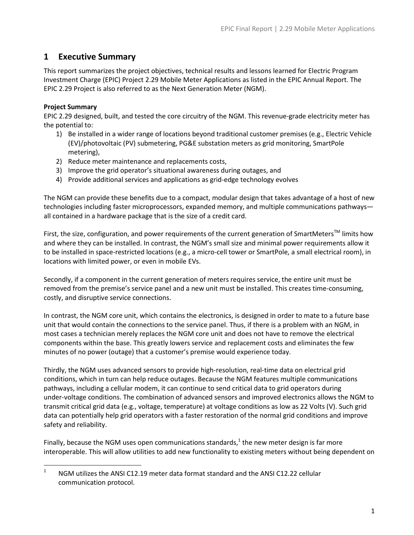## <span id="page-4-0"></span>**1 Executive Summary**

This report summarizes the project objectives, technical results and lessons learned for Electric Program Investment Charge (EPIC) Project 2.29 Mobile Meter Applications as listed in the EPIC Annual Report. The EPIC 2.29 Project is also referred to as the Next Generation Meter (NGM).

## **Project Summary**

EPIC 2.29 designed, built, and tested the core circuitry of the NGM. This revenue-grade electricity meter has the potential to:

- 1) Be installed in a wider range of locations beyond traditional customer premises (e.g., Electric Vehicle (EV)/photovoltaic (PV) submetering, PG&E substation meters as grid monitoring, SmartPole metering),
- 2) Reduce meter maintenance and replacements costs,
- 3) Improve the grid operator's situational awareness during outages, and
- 4) Provide additional services and applications as grid-edge technology evolves

The NGM can provide these benefits due to a compact, modular design that takes advantage of a host of new technologies including faster microprocessors, expanded memory, and multiple communications pathways all contained in a hardware package that is the size of a credit card.

First, the size, configuration, and power requirements of the current generation of SmartMeters™ limits how and where they can be installed. In contrast, the NGM's small size and minimal power requirements allow it to be installed in space-restricted locations (e.g., a micro-cell tower or SmartPole, a small electrical room), in locations with limited power, or even in mobile EVs.

Secondly, if a component in the current generation of meters requires service, the entire unit must be removed from the premise's service panel and a new unit must be installed. This creates time-consuming, costly, and disruptive service connections.

In contrast, the NGM core unit, which contains the electronics, is designed in order to mate to a future base unit that would contain the connections to the service panel. Thus, if there is a problem with an NGM, in most cases a technician merely replaces the NGM core unit and does not have to remove the electrical components within the base. This greatly lowers service and replacement costs and eliminates the few minutes of no power (outage) that a customer's premise would experience today.

Thirdly, the NGM uses advanced sensors to provide high-resolution, real-time data on electrical grid conditions, which in turn can help reduce outages. Because the NGM features multiple communications pathways, including a cellular modem, it can continue to send critical data to grid operators during under-voltage conditions. The combination of advanced sensors and improved electronics allows the NGM to transmit critical grid data (e.g., voltage, temperature) at voltage conditions as low as 22 Volts (V). Such grid data can potentially help grid operators with a faster restoration of the normal grid conditions and improve safety and reliability.

Finally, because the NGM uses open communications standards, $<sup>1</sup>$  the new meter design is far more</sup> interoperable. This will allow utilities to add new functionality to existing meters without being dependent on

 $\mathbf 1$ <sup>1</sup> NGM utilizes the ANSI C12.19 meter data format standard and the ANSI C12.22 cellular communication protocol.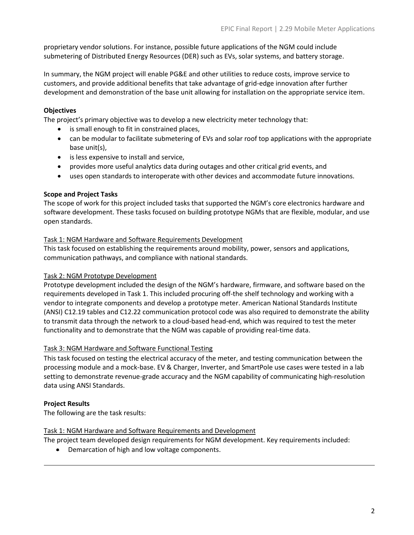proprietary vendor solutions. For instance, possible future applications of the NGM could include submetering of Distributed Energy Resources (DER) such as EVs, solar systems, and battery storage.

In summary, the NGM project will enable PG&E and other utilities to reduce costs, improve service to customers, and provide additional benefits that take advantage of grid-edge innovation after further development and demonstration of the base unit allowing for installation on the appropriate service item.

## **Objectives**

The project's primary objective was to develop a new electricity meter technology that:

- is small enough to fit in constrained places,
- can be modular to facilitate submetering of EVs and solar roof top applications with the appropriate base unit(s),
- is less expensive to install and service,
- provides more useful analytics data during outages and other critical grid events, and
- uses open standards to interoperate with other devices and accommodate future innovations.

### **Scope and Project Tasks**

The scope of work for this project included tasks that supported the NGM's core electronics hardware and software development. These tasks focused on building prototype NGMs that are flexible, modular, and use open standards.

#### Task 1: NGM Hardware and Software Requirements Development

This task focused on establishing the requirements around mobility, power, sensors and applications, communication pathways, and compliance with national standards.

### Task 2: NGM Prototype Development

Prototype development included the design of the NGM's hardware, firmware, and software based on the requirements developed in Task 1. This included procuring off-the shelf technology and working with a vendor to integrate components and develop a prototype meter. American National Standards Institute (ANSI) C12.19 tables and C12.22 communication protocol code was also required to demonstrate the ability to transmit data through the network to a cloud-based head-end, which was required to test the meter functionality and to demonstrate that the NGM was capable of providing real-time data.

### Task 3: NGM Hardware and Software Functional Testing

This task focused on testing the electrical accuracy of the meter, and testing communication between the processing module and a mock-base. EV & Charger, Inverter, and SmartPole use cases were tested in a lab setting to demonstrate revenue-grade accuracy and the NGM capability of communicating high-resolution data using ANSI Standards.

### **Project Results**

1

The following are the task results:

#### Task 1: NGM Hardware and Software Requirements and Development

The project team developed design requirements for NGM development. Key requirements included:

**•** Demarcation of high and low voltage components.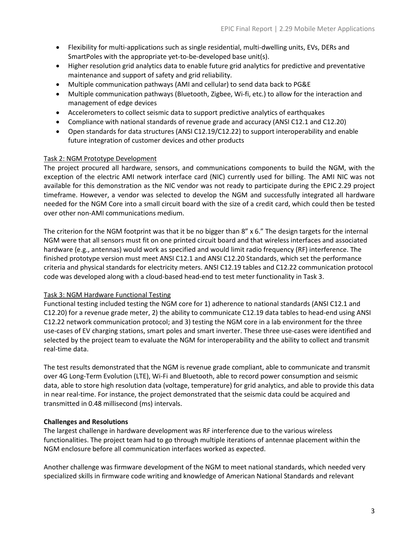- Flexibility for multi-applications such as single residential, multi-dwelling units, EVs, DERs and SmartPoles with the appropriate yet-to-be-developed base unit(s).
- Higher resolution grid analytics data to enable future grid analytics for predictive and preventative maintenance and support of safety and grid reliability.
- Multiple communication pathways (AMI and cellular) to send data back to PG&E
- Multiple communication pathways (Bluetooth, Zigbee, Wi-fi, etc.) to allow for the interaction and management of edge devices
- Accelerometers to collect seismic data to support predictive analytics of earthquakes
- Compliance with national standards of revenue grade and accuracy (ANSI C12.1 and C12.20)
- Open standards for data structures (ANSI C12.19/C12.22) to support interoperability and enable future integration of customer devices and other products

### Task 2: NGM Prototype Development

The project procured all hardware, sensors, and communications components to build the NGM, with the exception of the electric AMI network interface card (NIC) currently used for billing. The AMI NIC was not available for this demonstration as the NIC vendor was not ready to participate during the EPIC 2.29 project timeframe. However, a vendor was selected to develop the NGM and successfully integrated all hardware needed for the NGM Core into a small circuit board with the size of a credit card, which could then be tested over other non-AMI communications medium.

The criterion for the NGM footprint was that it be no bigger than  $8''$  x 6." The design targets for the internal NGM were that all sensors must fit on one printed circuit board and that wireless interfaces and associated hardware (e.g., antennas) would work as specified and would limit radio frequency (RF) interference. The finished prototype version must meet ANSI C12.1 and ANSI C12.20 Standards, which set the performance criteria and physical standards for electricity meters. ANSI C12.19 tables and C12.22 communication protocol code was developed along with a cloud-based head-end to test meter functionality in Task 3.

### Task 3: NGM Hardware Functional Testing

Functional testing included testing the NGM core for 1) adherence to national standards (ANSI C12.1 and C12.20) for a revenue grade meter, 2) the ability to communicate C12.19 data tables to head-end using ANSI C12.22 network communication protocol; and 3) testing the NGM core in a lab environment for the three use-cases of EV charging stations, smart poles and smart inverter. These three use-cases were identified and selected by the project team to evaluate the NGM for interoperability and the ability to collect and transmit real-time data.

The test results demonstrated that the NGM is revenue grade compliant, able to communicate and transmit over 4G Long-Term Evolution (LTE), Wi-Fi and Bluetooth, able to record power consumption and seismic data, able to store high resolution data (voltage, temperature) for grid analytics, and able to provide this data in near real-time. For instance, the project demonstrated that the seismic data could be acquired and transmitted in 0.48 millisecond (ms) intervals.

## **Challenges and Resolutions**

The largest challenge in hardware development was RF interference due to the various wireless functionalities. The project team had to go through multiple iterations of antennae placement within the NGM enclosure before all communication interfaces worked as expected.

Another challenge was firmware development of the NGM to meet national standards, which needed very specialized skills in firmware code writing and knowledge of American National Standards and relevant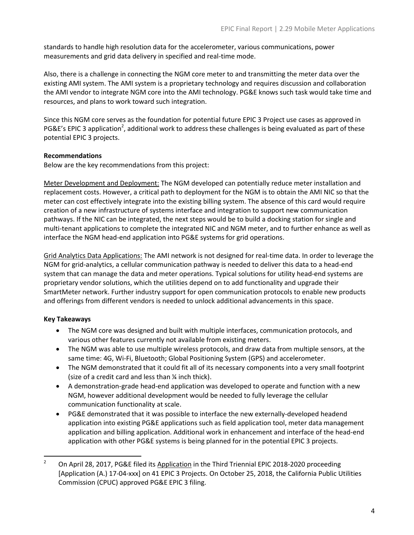standards to handle high resolution data for the accelerometer, various communications, power measurements and grid data delivery in specified and real-time mode.

Also, there is a challenge in connecting the NGM core meter to and transmitting the meter data over the existing AMI system. The AMI system is a proprietary technology and requires discussion and collaboration the AMI vendor to integrate NGM core into the AMI technology. PG&E knows such task would take time and resources, and plans to work toward such integration.

Since this NGM core serves as the foundation for potential future EPIC 3 Project use cases as approved in PG&E's EPIC 3 application<sup>2</sup>, additional work to address these challenges is being evaluated as part of these potential EPIC 3 projects.

## **Recommendations**

Below are the key recommendations from this project:

Meter Development and Deployment: The NGM developed can potentially reduce meter installation and replacement costs. However, a critical path to deployment for the NGM is to obtain the AMI NIC so that the meter can cost effectively integrate into the existing billing system. The absence of this card would require creation of a new infrastructure of systems interface and integration to support new communication pathways. If the NIC can be integrated, the next steps would be to build a docking station for single and multi-tenant applications to complete the integrated NIC and NGM meter, and to further enhance as well as interface the NGM head-end application into PG&E systems for grid operations.

Grid Analytics Data Applications: The AMI network is not designed for real-time data. In order to leverage the NGM for grid-analytics, a cellular communication pathway is needed to deliver this data to a head-end system that can manage the data and meter operations. Typical solutions for utility head-end systems are proprietary vendor solutions, which the utilities depend on to add functionality and upgrade their SmartMeter network. Further industry support for open communication protocols to enable new products and offerings from different vendors is needed to unlock additional advancements in this space.

## **Key Takeaways**

- The NGM core was designed and built with multiple interfaces, communication protocols, and various other features currently not available from existing meters.
- The NGM was able to use multiple wireless protocols, and draw data from multiple sensors, at the same time: 4G, Wi-Fi, Bluetooth; Global Positioning System (GPS) and accelerometer.
- The NGM demonstrated that it could fit all of its necessary components into a very small footprint (size of a credit card and less than ¼ inch thick).
- A demonstration-grade head-end application was developed to operate and function with a new NGM, however additional development would be needed to fully leverage the cellular communication functionality at scale.
- PG&E demonstrated that it was possible to interface the new externally-developed headend application into existing PG&E applications such as field application tool, meter data management application and billing application. Additional work in enhancement and interface of the head-end application with other PG&E systems is being planned for in the potential EPIC 3 projects.

 $\overline{a}$ <sup>2</sup> On April 28, 2017, PG&E filed it[s Application](http://prccappiiswc002/Docs/EPIC-InvestmentPlan2018-20/Pleadings/PGE/2017/EPIC-InvestmentPlan2018-20_Plea_PGE_20170428_409438.pdf) in the Third Triennial EPIC 2018-2020 proceeding [Application (A.) 17-04-xxx] on 41 EPIC 3 Projects. On October 25, 2018, the California Public Utilities Commission (CPUC) approved PG&E EPIC 3 filing.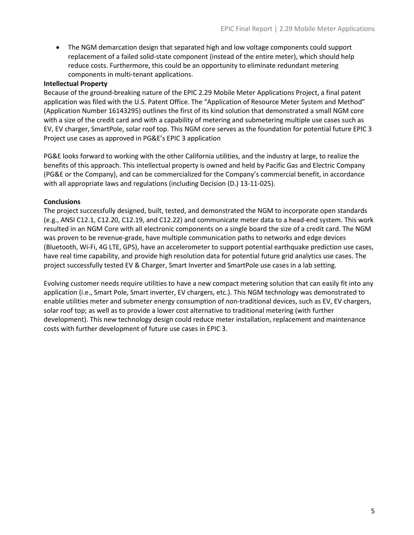The NGM demarcation design that separated high and low voltage components could support replacement of a failed solid-state component (instead of the entire meter), which should help reduce costs. Furthermore, this could be an opportunity to eliminate redundant metering components in multi-tenant applications.

### **Intellectual Property**

Because of the ground-breaking nature of the EPIC 2.29 Mobile Meter Applications Project, a final patent application was filed with the U.S. Patent Office. The "Application of Resource Meter System and Method" (Application Number 16143295) outlines the first of its kind solution that demonstrated a small NGM core with a size of the credit card and with a capability of metering and submetering multiple use cases such as EV, EV charger, SmartPole, solar roof top. This NGM core serves as the foundation for potential future EPIC 3 Project use cases as approved in PG&E's EPIC 3 application

PG&E looks forward to working with the other California utilities, and the industry at large, to realize the benefits of this approach. This intellectual property is owned and held by Pacific Gas and Electric Company (PG&E or the Company), and can be commercialized for the Company's commercial benefit, in accordance with all appropriate laws and regulations (including Decision (D.) 13-11-025).

### **Conclusions**

The project successfully designed, built, tested, and demonstrated the NGM to incorporate open standards (e.g., ANSI C12.1, C12.20, C12.19, and C12.22) and communicate meter data to a head-end system. This work resulted in an NGM Core with all electronic components on a single board the size of a credit card. The NGM was proven to be revenue-grade, have multiple communication paths to networks and edge devices (Bluetooth, Wi-Fi, 4G LTE, GPS), have an accelerometer to support potential earthquake prediction use cases, have real time capability, and provide high resolution data for potential future grid analytics use cases. The project successfully tested EV & Charger, Smart Inverter and SmartPole use cases in a lab setting.

Evolving customer needs require utilities to have a new compact metering solution that can easily fit into any application (i.e., Smart Pole, Smart inverter, EV chargers, etc.). This NGM technology was demonstrated to enable utilities meter and submeter energy consumption of non-traditional devices, such as EV, EV chargers, solar roof top; as well as to provide a lower cost alternative to traditional metering (with further development). This new technology design could reduce meter installation, replacement and maintenance costs with further development of future use cases in EPIC 3.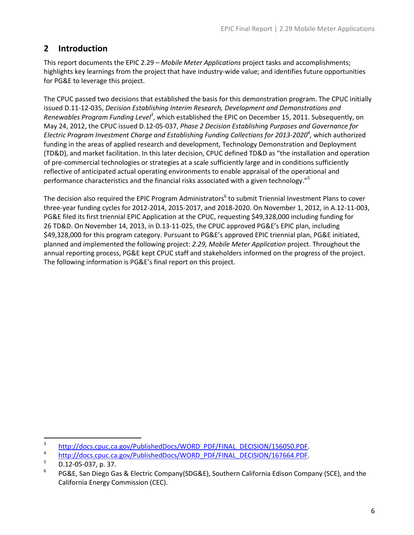## <span id="page-9-0"></span>**2 Introduction**

This report documents the EPIC 2.29 – *Mobile Meter Applications* project tasks and accomplishments; highlights key learnings from the project that have industry-wide value; and identifies future opportunities for PG&E to leverage this project.

The CPUC passed two decisions that established the basis for this demonstration program. The CPUC initially issued D.11-12-035, *Decision Establishing Interim Research, Development and Demonstrations and Renewables Program Funding Le*v*el<sup>3</sup>* , which established the EPIC on December 15, 2011. Subsequently, on May 24, 2012, the CPUC issued D.12-05-037, *Phase 2 Decision Establishing Purposes and Governance for Electric Program Investment Charge and Establishing Funding Collections for 2013-2020<sup>4</sup> ,* which authorized funding in the areas of applied research and development, Technology Demonstration and Deployment (TD&D), and market facilitation. In this later decision, CPUC defined TD&D as "the installation and operation of pre-commercial technologies or strategies at a scale sufficiently large and in conditions sufficiently reflective of anticipated actual operating environments to enable appraisal of the operational and performance characteristics and the financial risks associated with a given technology."<sup>5</sup>

The decision also required the EPIC Program Administrators<sup>6</sup> to submit Triennial Investment Plans to cover three-year funding cycles for 2012-2014, 2015-2017, and 2018-2020. On November 1, 2012, in A.12-11-003, PG&E filed its first triennial EPIC Application at the CPUC, requesting \$49,328,000 including funding for 26 TD&D. On November 14, 2013, in D.13-11-025, the CPUC approved PG&E's EPIC plan, including \$49,328,000 for this program category. Pursuant to PG&E's approved EPIC triennial plan, PG&E initiated, planned and implemented the following project: *2.29, Mobile Meter Application* project. Throughout the annual reporting process, PG&E kept CPUC staff and stakeholders informed on the progress of the project. The following information is PG&E's final report on this project.

<sup>-&</sup>lt;br>3 [http://docs.cpuc.ca.gov/PublishedDocs/WORD\\_PDF/FINAL\\_DECISION/156050.PDF.](http://docs.cpuc.ca.gov/PublishedDocs/WORD_PDF/FINAL_DECISION/156050.PDF)

<sup>4</sup> [http://docs.cpuc.ca.gov/PublishedDocs/WORD\\_PDF/FINAL\\_DECISION/167664.PDF.](http://docs.cpuc.ca.gov/PublishedDocs/WORD_PDF/FINAL_DECISION/167664.PDF)

 $\overline{D.12-05-037}$ , p. 37.

<sup>6</sup> PG&E, San Diego Gas & Electric Company(SDG&E), Southern California Edison Company (SCE), and the California Energy Commission (CEC).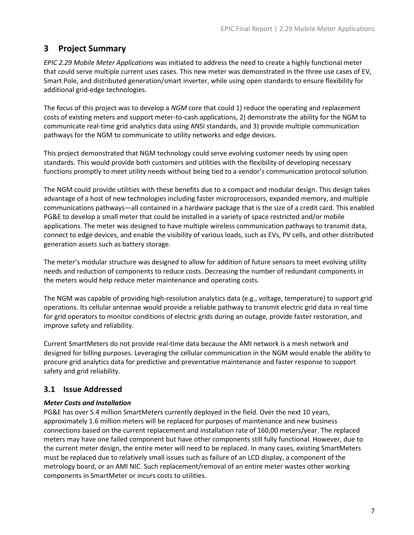## <span id="page-10-0"></span>**3 Project Summary**

*EPIC 2.29 Mobile Meter Applications* was initiated to address the need to create a highly functional meter that could serve multiple current uses cases. This new meter was demonstrated in the three use cases of EV, Smart Pole, and distributed generation/smart inverter, while using open standards to ensure flexibility for additional grid-edge technologies.

The focus of this project was to develop a *NGM* core that could 1) reduce the operating and replacement costs of existing meters and support meter-to-cash applications, 2) demonstrate the ability for the NGM to communicate real-time grid analytics data using ANSI standards, and 3) provide multiple communication pathways for the NGM to communicate to utility networks and edge devices.

This project demonstrated that NGM technology could serve evolving customer needs by using open standards. This would provide both customers and utilities with the flexibility of developing necessary functions promptly to meet utility needs without being tied to a vendor's communication protocol solution.

The NGM could provide utilities with these benefits due to a compact and modular design. This design takes advantage of a host of new technologies including faster microprocessors, expanded memory, and multiple communications pathways—all contained in a hardware package that is the size of a credit card. This enabled PG&E to develop a small meter that could be installed in a variety of space restricted and/or mobile applications. The meter was designed to have multiple wireless communication pathways to transmit data, connect to edge devices, and enable the visibility of various loads, such as EVs, PV cells, and other distributed generation assets such as battery storage.

The meter's modular structure was designed to allow for addition of future sensors to meet evolving utility needs and reduction of components to reduce costs. Decreasing the number of redundant components in the meters would help reduce meter maintenance and operating costs.

The NGM was capable of providing high-resolution analytics data (e.g., voltage, temperature) to support grid operations. Its cellular antennae would provide a reliable pathway to transmit electric grid data in real time for grid operators to monitor conditions of electric grids during an outage, provide faster restoration, and improve safety and reliability.

Current SmartMeters do not provide real-time data because the AMI network is a mesh network and designed for billing purposes. Leveraging the cellular communication in the NGM would enable the ability to procure grid analytics data for predictive and preventative maintenance and faster response to support safety and grid reliability.

## <span id="page-10-1"></span>**3.1 Issue Addressed**

## *Meter Costs and Installation*

PG&E has over 5.4 million SmartMeters currently deployed in the field. Over the next 10 years, approximately 1.6 million meters will be replaced for purposes of maintenance and new business connections based on the current replacement and installation rate of 160,00 meters/year. The replaced meters may have one failed component but have other components still fully functional. However, due to the current meter design, the entire meter will need to be replaced. In many cases, existing SmartMeters must be replaced due to relatively small issues such as failure of an LCD display, a component of the metrology board, or an AMI NIC. Such replacement/removal of an entire meter wastes other working components in SmartMeter or incurs costs to utilities.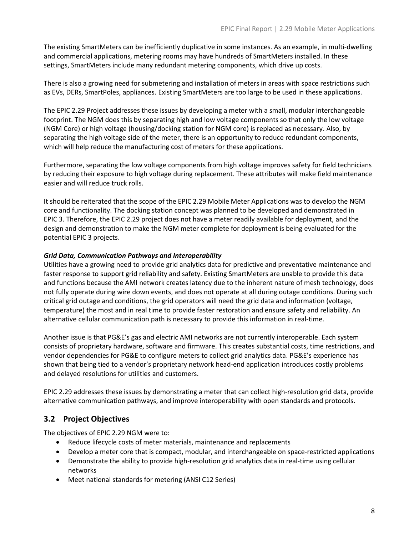The existing SmartMeters can be inefficiently duplicative in some instances. As an example, in multi-dwelling and commercial applications, metering rooms may have hundreds of SmartMeters installed. In these settings, SmartMeters include many redundant metering components, which drive up costs.

There is also a growing need for submetering and installation of meters in areas with space restrictions such as EVs, DERs, SmartPoles, appliances. Existing SmartMeters are too large to be used in these applications.

The EPIC 2.29 Project addresses these issues by developing a meter with a small, modular interchangeable footprint. The NGM does this by separating high and low voltage components so that only the low voltage (NGM Core) or high voltage (housing/docking station for NGM core) is replaced as necessary. Also, by separating the high voltage side of the meter, there is an opportunity to reduce redundant components, which will help reduce the manufacturing cost of meters for these applications.

Furthermore, separating the low voltage components from high voltage improves safety for field technicians by reducing their exposure to high voltage during replacement. These attributes will make field maintenance easier and will reduce truck rolls.

It should be reiterated that the scope of the EPIC 2.29 Mobile Meter Applications was to develop the NGM core and functionality. The docking station concept was planned to be developed and demonstrated in EPIC 3. Therefore, the EPIC 2.29 project does not have a meter readily available for deployment, and the design and demonstration to make the NGM meter complete for deployment is being evaluated for the potential EPIC 3 projects.

#### *Grid Data, Communication Pathways and Interoperability*

Utilities have a growing need to provide grid analytics data for predictive and preventative maintenance and faster response to support grid reliability and safety. Existing SmartMeters are unable to provide this data and functions because the AMI network creates latency due to the inherent nature of mesh technology, does not fully operate during wire down events, and does not operate at all during outage conditions. During such critical grid outage and conditions, the grid operators will need the grid data and information (voltage, temperature) the most and in real time to provide faster restoration and ensure safety and reliability. An alternative cellular communication path is necessary to provide this information in real-time.

Another issue is that PG&E's gas and electric AMI networks are not currently interoperable. Each system consists of proprietary hardware, software and firmware. This creates substantial costs, time restrictions, and vendor dependencies for PG&E to configure meters to collect grid analytics data. PG&E's experience has shown that being tied to a vendor's proprietary network head-end application introduces costly problems and delayed resolutions for utilities and customers.

EPIC 2.29 addresses these issues by demonstrating a meter that can collect high-resolution grid data, provide alternative communication pathways, and improve interoperability with open standards and protocols.

## <span id="page-11-0"></span>**3.2 Project Objectives**

The objectives of EPIC 2.29 NGM were to:

- Reduce lifecycle costs of meter materials, maintenance and replacements
- Develop a meter core that is compact, modular, and interchangeable on space-restricted applications
- Demonstrate the ability to provide high-resolution grid analytics data in real-time using cellular networks
- Meet national standards for metering (ANSI C12 Series)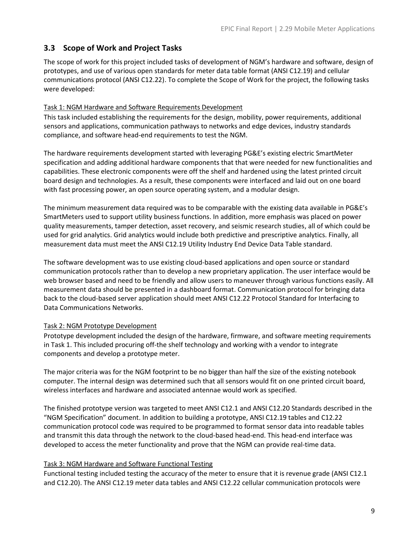## <span id="page-12-0"></span>**3.3 Scope of Work and Project Tasks**

The scope of work for this project included tasks of development of NGM's hardware and software, design of prototypes, and use of various open standards for meter data table format (ANSI C12.19) and cellular communications protocol (ANSI C12.22). To complete the Scope of Work for the project, the following tasks were developed:

## Task 1: NGM Hardware and Software Requirements Development

This task included establishing the requirements for the design, mobility, power requirements, additional sensors and applications, communication pathways to networks and edge devices, industry standards compliance, and software head-end requirements to test the NGM.

The hardware requirements development started with leveraging PG&E's existing electric SmartMeter specification and adding additional hardware components that that were needed for new functionalities and capabilities. These electronic components were off the shelf and hardened using the latest printed circuit board design and technologies. As a result, these components were interfaced and laid out on one board with fast processing power, an open source operating system, and a modular design.

The minimum measurement data required was to be comparable with the existing data available in PG&E's SmartMeters used to support utility business functions. In addition, more emphasis was placed on power quality measurements, tamper detection, asset recovery, and seismic research studies, all of which could be used for grid analytics. Grid analytics would include both predictive and prescriptive analytics. Finally, all measurement data must meet the ANSI C12.19 Utility Industry End Device Data Table standard.

The software development was to use existing cloud-based applications and open source or standard communication protocols rather than to develop a new proprietary application. The user interface would be web browser based and need to be friendly and allow users to maneuver through various functions easily. All measurement data should be presented in a dashboard format. Communication protocol for bringing data back to the cloud-based server application should meet ANSI C12.22 Protocol Standard for Interfacing to Data Communications Networks.

### Task 2: NGM Prototype Development

Prototype development included the design of the hardware, firmware, and software meeting requirements in Task 1. This included procuring off-the shelf technology and working with a vendor to integrate components and develop a prototype meter.

The major criteria was for the NGM footprint to be no bigger than half the size of the existing notebook computer. The internal design was determined such that all sensors would fit on one printed circuit board, wireless interfaces and hardware and associated antennae would work as specified.

The finished prototype version was targeted to meet ANSI C12.1 and ANSI C12.20 Standards described in the "NGM Specification" document. In addition to building a prototype, ANSI C12.19 tables and C12.22 communication protocol code was required to be programmed to format sensor data into readable tables and transmit this data through the network to the cloud-based head-end. This head-end interface was developed to access the meter functionality and prove that the NGM can provide real-time data.

### Task 3: NGM Hardware and Software Functional Testing

Functional testing included testing the accuracy of the meter to ensure that it is revenue grade (ANSI C12.1 and C12.20). The ANSI C12.19 meter data tables and ANSI C12.22 cellular communication protocols were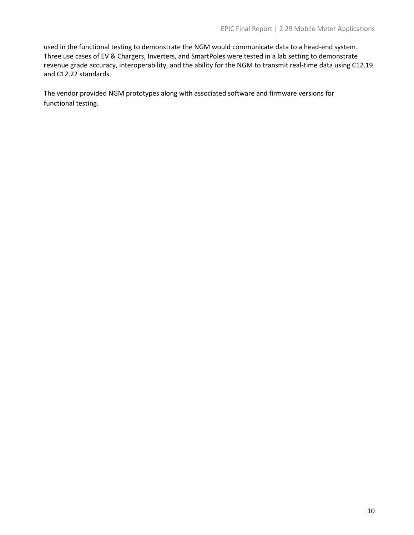used in the functional testing to demonstrate the NGM would communicate data to a head-end system. Three use cases of EV & Chargers, Inverters, and SmartPoles were tested in a lab setting to demonstrate revenue grade accuracy, interoperability, and the ability for the NGM to transmit real-time data using C12.19 and C12.22 standards.

The vendor provided NGM prototypes along with associated software and firmware versions for functional testing.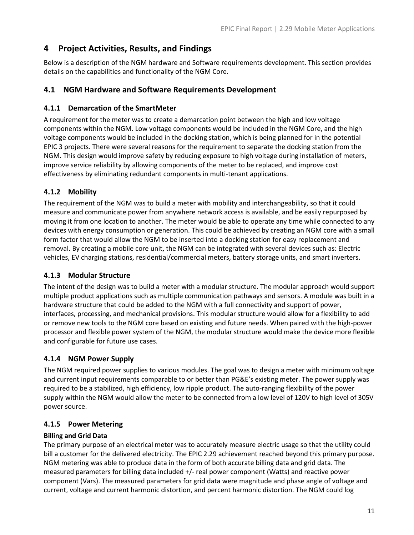## <span id="page-14-0"></span>**4 Project Activities, Results, and Findings**

Below is a description of the NGM hardware and Software requirements development. This section provides details on the capabilities and functionality of the NGM Core.

## <span id="page-14-1"></span>**4.1 NGM Hardware and Software Requirements Development**

## <span id="page-14-2"></span>**4.1.1 Demarcation of the SmartMeter**

A requirement for the meter was to create a demarcation point between the high and low voltage components within the NGM. Low voltage components would be included in the NGM Core, and the high voltage components would be included in the docking station, which is being planned for in the potential EPIC 3 projects. There were several reasons for the requirement to separate the docking station from the NGM. This design would improve safety by reducing exposure to high voltage during installation of meters, improve service reliability by allowing components of the meter to be replaced, and improve cost effectiveness by eliminating redundant components in multi-tenant applications.

## <span id="page-14-3"></span>**4.1.2 Mobility**

The requirement of the NGM was to build a meter with mobility and interchangeability, so that it could measure and communicate power from anywhere network access is available, and be easily repurposed by moving it from one location to another. The meter would be able to operate any time while connected to any devices with energy consumption or generation. This could be achieved by creating an NGM core with a small form factor that would allow the NGM to be inserted into a docking station for easy replacement and removal. By creating a mobile core unit, the NGM can be integrated with several devices such as: Electric vehicles, EV charging stations, residential/commercial meters, battery storage units, and smart inverters.

## <span id="page-14-4"></span>**4.1.3 Modular Structure**

The intent of the design was to build a meter with a modular structure. The modular approach would support multiple product applications such as multiple communication pathways and sensors. A module was built in a hardware structure that could be added to the NGM with a full connectivity and support of power, interfaces, processing, and mechanical provisions. This modular structure would allow for a flexibility to add or remove new tools to the NGM core based on existing and future needs. When paired with the high-power processor and flexible power system of the NGM, the modular structure would make the device more flexible and configurable for future use cases.

## <span id="page-14-5"></span>**4.1.4 NGM Power Supply**

The NGM required power supplies to various modules. The goal was to design a meter with minimum voltage and current input requirements comparable to or better than PG&E's existing meter. The power supply was required to be a stabilized, high efficiency, low ripple product. The auto-ranging flexibility of the power supply within the NGM would allow the meter to be connected from a low level of 120V to high level of 305V power source.

## <span id="page-14-6"></span>**4.1.5 Power Metering**

## **Billing and Grid Data**

The primary purpose of an electrical meter was to accurately measure electric usage so that the utility could bill a customer for the delivered electricity. The EPIC 2.29 achievement reached beyond this primary purpose. NGM metering was able to produce data in the form of both accurate billing data and grid data. The measured parameters for billing data included +/- real power component (Watts) and reactive power component (Vars). The measured parameters for grid data were magnitude and phase angle of voltage and current, voltage and current harmonic distortion, and percent harmonic distortion. The NGM could log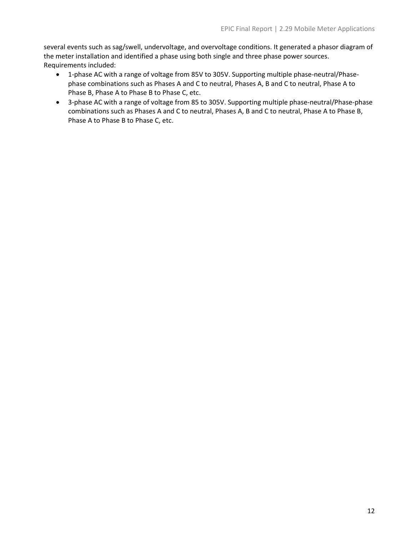several events such as sag/swell, undervoltage, and overvoltage conditions. It generated a phasor diagram of the meter installation and identified a phase using both single and three phase power sources. Requirements included:

- 1-phase AC with a range of voltage from 85V to 305V. Supporting multiple phase-neutral/Phasephase combinations such as Phases A and C to neutral, Phases A, B and C to neutral, Phase A to Phase B, Phase A to Phase B to Phase C, etc.
- 3-phase AC with a range of voltage from 85 to 305V. Supporting multiple phase-neutral/Phase-phase combinations such as Phases A and C to neutral, Phases A, B and C to neutral, Phase A to Phase B, Phase A to Phase B to Phase C, etc.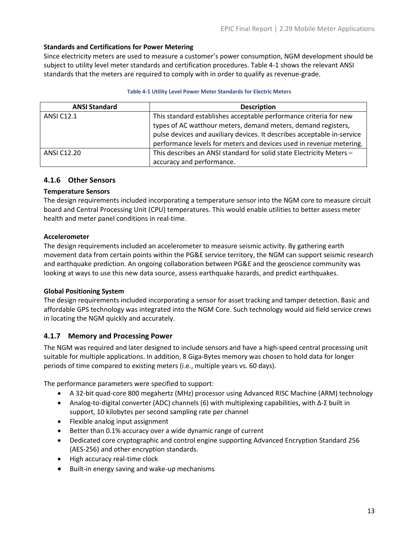### **Standards and Certifications for Power Metering**

Since electricity meters are used to measure a customer's power consumption, NGM development should be subject to utility level meter standards and certification procedures. Table 4-1 shows the relevant ANSI standards that the meters are required to comply with in order to qualify as revenue-grade.

#### **Table 4-1 Utility Level Power Meter Standards for Electric Meters**

<span id="page-16-2"></span>

| <b>ANSI Standard</b> | <b>Description</b>                                                      |  |  |  |  |
|----------------------|-------------------------------------------------------------------------|--|--|--|--|
| <b>ANSI C12.1</b>    | This standard establishes acceptable performance criteria for new       |  |  |  |  |
|                      | types of AC watthour meters, demand meters, demand registers,           |  |  |  |  |
|                      | pulse devices and auxiliary devices. It describes acceptable in-service |  |  |  |  |
|                      | performance levels for meters and devices used in revenue metering.     |  |  |  |  |
| ANSI C12.20          | This describes an ANSI standard for solid state Electricity Meters -    |  |  |  |  |
|                      | accuracy and performance.                                               |  |  |  |  |

### <span id="page-16-0"></span>**4.1.6 Other Sensors**

### **Temperature Sensors**

The design requirements included incorporating a temperature sensor into the NGM core to measure circuit board and Central Processing Unit (CPU) temperatures. This would enable utilities to better assess meter health and meter panel conditions in real-time.

#### **Accelerometer**

The design requirements included an accelerometer to measure seismic activity. By gathering earth movement data from certain points within the PG&E service territory, the NGM can support seismic research and earthquake prediction. An ongoing collaboration between PG&E and the geoscience community was looking at ways to use this new data source, assess earthquake hazards, and predict earthquakes.

### **Global Positioning System**

The design requirements included incorporating a sensor for asset tracking and tamper detection. Basic and affordable GPS technology was integrated into the NGM Core. Such technology would aid field service crews in locating the NGM quickly and accurately.

## <span id="page-16-1"></span>**4.1.7 Memory and Processing Power**

The NGM was required and later designed to include sensors and have a high-speed central processing unit suitable for multiple applications. In addition, 8 Giga-Bytes memory was chosen to hold data for longer periods of time compared to existing meters (i.e., multiple years vs. 60 days).

The performance parameters were specified to support:

- A 32-bit quad-core 800 megahertz (MHz) processor using Advanced RISC Machine (ARM) technology
- Analog-to-digital converter (ADC) channels (6) with multiplexing capabilities, with Δ-Σ built in support, 10 kilobytes per second sampling rate per channel
- Flexible analog input assignment
- Better than 0.1% accuracy over a wide dynamic range of current
- Dedicated core cryptographic and control engine supporting Advanced Encryption Standard 256 (AES-256) and other encryption standards.
- High accuracy real-time clock
- Built-in energy saving and wake-up mechanisms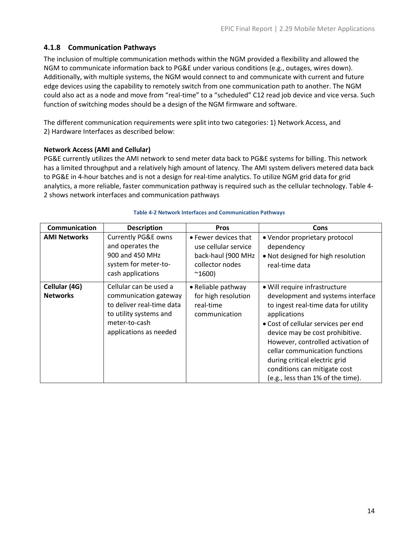## <span id="page-17-0"></span>**4.1.8 Communication Pathways**

The inclusion of multiple communication methods within the NGM provided a flexibility and allowed the NGM to communicate information back to PG&E under various conditions (e.g., outages, wires down). Additionally, with multiple systems, the NGM would connect to and communicate with current and future edge devices using the capability to remotely switch from one communication path to another. The NGM could also act as a node and move from "real-time" to a "scheduled" C12 read job device and vice versa. Such function of switching modes should be a design of the NGM firmware and software.

The different communication requirements were split into two categories: 1) Network Access, and 2) Hardware Interfaces as described below:

## **Network Access (AMI and Cellular)**

PG&E currently utilizes the AMI network to send meter data back to PG&E systems for billing. This network has a limited throughput and a relatively high amount of latency. The AMI system delivers metered data back to PG&E in 4-hour batches and is not a design for real-time analytics. To utilize NGM grid data for grid analytics, a more reliable, faster communication pathway is required such as the cellular technology. Table 4- 2 shows network interfaces and communication pathways

<span id="page-17-1"></span>

| <b>Communication</b>             | <b>Description</b>                                                                                                                                | <b>Pros</b>                                                                                              | Cons                                                                                                                                                                                                                                                                                                                                                                              |
|----------------------------------|---------------------------------------------------------------------------------------------------------------------------------------------------|----------------------------------------------------------------------------------------------------------|-----------------------------------------------------------------------------------------------------------------------------------------------------------------------------------------------------------------------------------------------------------------------------------------------------------------------------------------------------------------------------------|
| <b>AMI Networks</b>              | <b>Currently PG&amp;E owns</b><br>and operates the<br>900 and 450 MHz<br>system for meter-to-<br>cash applications                                | • Fewer devices that<br>use cellular service<br>back-haul (900 MHz<br>collector nodes<br>$^{\sim}$ 1600) | • Vendor proprietary protocol<br>dependency<br>. Not designed for high resolution<br>real-time data                                                                                                                                                                                                                                                                               |
| Cellular (4G)<br><b>Networks</b> | Cellular can be used a<br>communication gateway<br>to deliver real-time data<br>to utility systems and<br>meter-to-cash<br>applications as needed | • Reliable pathway<br>for high resolution<br>real-time<br>communication                                  | · Will require infrastructure<br>development and systems interface<br>to ingest real-time data for utility<br>applications<br>• Cost of cellular services per end<br>device may be cost prohibitive.<br>However, controlled activation of<br>cellar communication functions<br>during critical electric grid<br>conditions can mitigate cost<br>(e.g., less than 1% of the time). |

#### **Table 4-2 Network Interfaces and Communication Pathways**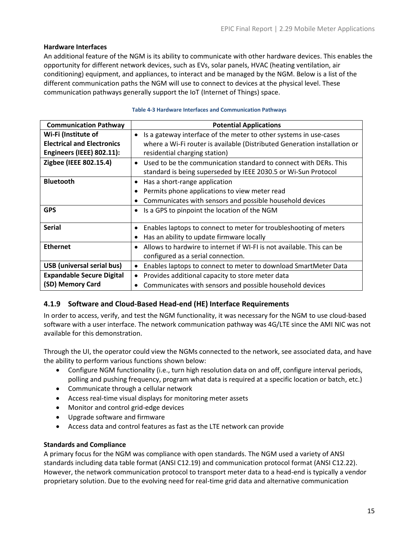### **Hardware Interfaces**

An additional feature of the NGM is its ability to communicate with other hardware devices. This enables the opportunity for different network devices, such as EVs, solar panels, HVAC (heating ventilation, air conditioning) equipment, and appliances, to interact and be managed by the NGM. Below is a list of the different communication paths the NGM will use to connect to devices at the physical level. These communication pathways generally support the IoT (Internet of Things) space.

<span id="page-18-1"></span>

| <b>Communication Pathway</b>                                                                 | <b>Potential Applications</b>                                                                                                                                                                |  |  |  |  |
|----------------------------------------------------------------------------------------------|----------------------------------------------------------------------------------------------------------------------------------------------------------------------------------------------|--|--|--|--|
| Wi-Fi (Institute of<br><b>Electrical and Electronics</b><br><b>Engineers (IEEE) 802.11):</b> | Is a gateway interface of the meter to other systems in use-cases<br>$\bullet$<br>where a Wi-Fi router is available (Distributed Generation installation or<br>residential charging station) |  |  |  |  |
| Zigbee (IEEE 802.15.4)                                                                       | Used to be the communication standard to connect with DERs. This<br>$\bullet$<br>standard is being superseded by IEEE 2030.5 or Wi-Sun Protocol                                              |  |  |  |  |
| <b>Bluetooth</b>                                                                             | Has a short-range application<br>٠<br>Permits phone applications to view meter read<br>$\bullet$<br>Communicates with sensors and possible household devices<br>$\bullet$                    |  |  |  |  |
| <b>GPS</b>                                                                                   | Is a GPS to pinpoint the location of the NGM<br>$\bullet$                                                                                                                                    |  |  |  |  |
| <b>Serial</b>                                                                                | Enables laptops to connect to meter for troubleshooting of meters<br>$\bullet$<br>Has an ability to update firmware locally<br>$\bullet$                                                     |  |  |  |  |
| <b>Ethernet</b>                                                                              | Allows to hardwire to internet if WI-FI is not available. This can be<br>$\bullet$<br>configured as a serial connection.                                                                     |  |  |  |  |
| <b>USB</b> (universal serial bus)                                                            | Enables laptops to connect to meter to download SmartMeter Data<br>$\bullet$                                                                                                                 |  |  |  |  |
| <b>Expandable Secure Digital</b><br>(SD) Memory Card                                         | Provides additional capacity to store meter data<br>$\bullet$<br>Communicates with sensors and possible household devices<br>$\bullet$                                                       |  |  |  |  |

#### **Table 4-3 Hardware Interfaces and Communication Pathways**

### <span id="page-18-0"></span>**4.1.9 Software and Cloud-Based Head-end (HE) Interface Requirements**

In order to access, verify, and test the NGM functionality, it was necessary for the NGM to use cloud-based software with a user interface. The network communication pathway was 4G/LTE since the AMI NIC was not available for this demonstration.

Through the UI, the operator could view the NGMs connected to the network, see associated data, and have the ability to perform various functions shown below:

- Configure NGM functionality (i.e., turn high resolution data on and off, configure interval periods, polling and pushing frequency, program what data is required at a specific location or batch, etc.)
- Communicate through a cellular network
- Access real-time visual displays for monitoring meter assets
- Monitor and control grid-edge devices
- Upgrade software and firmware
- Access data and control features as fast as the LTE network can provide

#### **Standards and Compliance**

A primary focus for the NGM was compliance with open standards. The NGM used a variety of ANSI standards including data table format (ANSI C12.19) and communication protocol format (ANSI C12.22). However, the network communication protocol to transport meter data to a head-end is typically a vendor proprietary solution. Due to the evolving need for real-time grid data and alternative communication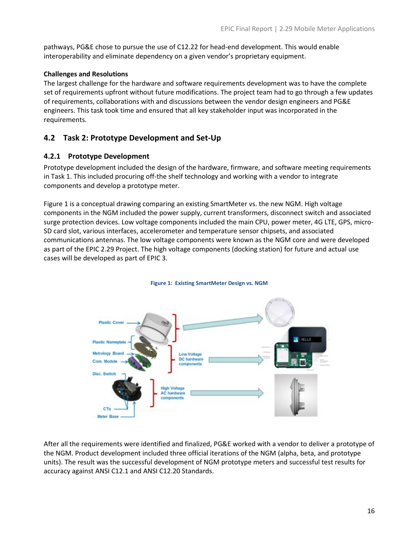pathways, PG&E chose to pursue the use of C12.22 for head-end development. This would enable interoperability and eliminate dependency on a given vendor's proprietary equipment.

## **Challenges and Resolutions**

The largest challenge for the hardware and software requirements development was to have the complete set of requirements upfront without future modifications. The project team had to go through a few updates of requirements, collaborations with and discussions between the vendor design engineers and PG&E engineers. This task took time and ensured that all key stakeholder input was incorporated in the requirements.

## <span id="page-19-0"></span>**4.2 Task 2: Prototype Development and Set-Up**

## <span id="page-19-1"></span>**4.2.1 Prototype Development**

Prototype development included the design of the hardware, firmware, and software meeting requirements in Task 1. This included procuring off-the shelf technology and working with a vendor to integrate components and develop a prototype meter.

Figure 1 is a conceptual drawing comparing an existing SmartMeter vs. the new NGM. High voltage components in the NGM included the power supply, current transformers, disconnect switch and associated surge protection devices. Low voltage components included the main CPU, power meter, 4G LTE, GPS, micro-SD card slot, various interfaces, accelerometer and temperature sensor chipsets, and associated communications antennas. The low voltage components were known as the NGM core and were developed as part of the EPIC 2.29 Project. The high voltage components (docking station) for future and actual use cases will be developed as part of EPIC 3.

<span id="page-19-2"></span>

#### **Figure 1: Existing SmartMeter Design vs. NGM**

After all the requirements were identified and finalized, PG&E worked with a vendor to deliver a prototype of the NGM. Product development included three official iterations of the NGM (alpha, beta, and prototype units). The result was the successful development of NGM prototype meters and successful test results for accuracy against ANSI C12.1 and ANSI C12.20 Standards.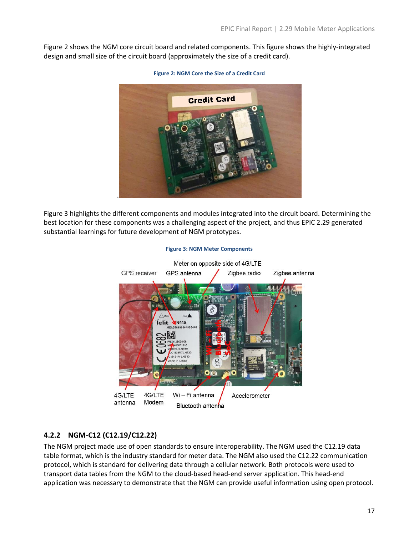<span id="page-20-1"></span>Figure 2 shows the NGM core circuit board and related components. This figure shows the highly-integrated design and small size of the circuit board (approximately the size of a credit card).



#### **Figure 2: NGM Core the Size of a Credit Card**

<span id="page-20-2"></span>Figure 3 highlights the different components and modules integrated into the circuit board. Determining the best location for these components was a challenging aspect of the project, and thus EPIC 2.29 generated substantial learnings for future development of NGM prototypes.



#### **Figure 3: NGM Meter Components**

#### <span id="page-20-0"></span>**4.2.2 NGM-C12 (C12.19/C12.22)**

The NGM project made use of open standards to ensure interoperability. The NGM used the C12.19 data table format, which is the industry standard for meter data. The NGM also used the C12.22 communication protocol, which is standard for delivering data through a cellular network. Both protocols were used to transport data tables from the NGM to the cloud-based head-end server application. This head-end application was necessary to demonstrate that the NGM can provide useful information using open protocol.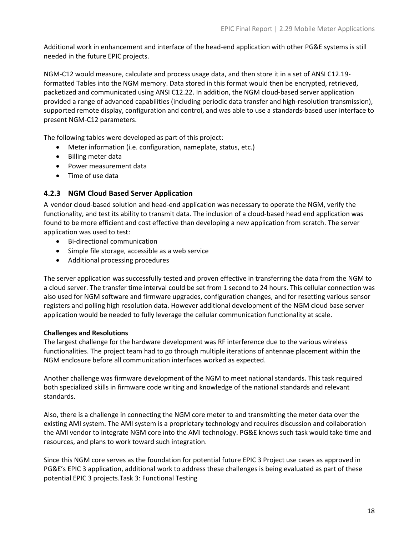Additional work in enhancement and interface of the head-end application with other PG&E systems is still needed in the future EPIC projects.

NGM-C12 would measure, calculate and process usage data, and then store it in a set of ANSI C12.19 formatted Tables into the NGM memory. Data stored in this format would then be encrypted, retrieved, packetized and communicated using ANSI C12.22. In addition, the NGM cloud-based server application provided a range of advanced capabilities (including periodic data transfer and high-resolution transmission), supported remote display, configuration and control, and was able to use a standards-based user interface to present NGM-C12 parameters.

The following tables were developed as part of this project:

- Meter information (i.e. configuration, nameplate, status, etc.)
- Billing meter data
- Power measurement data
- Time of use data

## <span id="page-21-0"></span>**4.2.3 NGM Cloud Based Server Application**

A vendor cloud-based solution and head-end application was necessary to operate the NGM, verify the functionality, and test its ability to transmit data. The inclusion of a cloud-based head end application was found to be more efficient and cost effective than developing a new application from scratch. The server application was used to test:

- Bi-directional communication
- Simple file storage, accessible as a web service
- Additional processing procedures

The server application was successfully tested and proven effective in transferring the data from the NGM to a cloud server. The transfer time interval could be set from 1 second to 24 hours. This cellular connection was also used for NGM software and firmware upgrades, configuration changes, and for resetting various sensor registers and polling high resolution data. However additional development of the NGM cloud base server application would be needed to fully leverage the cellular communication functionality at scale.

### **Challenges and Resolutions**

The largest challenge for the hardware development was RF interference due to the various wireless functionalities. The project team had to go through multiple iterations of antennae placement within the NGM enclosure before all communication interfaces worked as expected.

Another challenge was firmware development of the NGM to meet national standards. This task required both specialized skills in firmware code writing and knowledge of the national standards and relevant standards.

Also, there is a challenge in connecting the NGM core meter to and transmitting the meter data over the existing AMI system. The AMI system is a proprietary technology and requires discussion and collaboration the AMI vendor to integrate NGM core into the AMI technology. PG&E knows such task would take time and resources, and plans to work toward such integration.

Since this NGM core serves as the foundation for potential future EPIC 3 Project use cases as approved in PG&E's EPIC 3 application, additional work to address these challenges is being evaluated as part of these potential EPIC 3 projects.Task 3: Functional Testing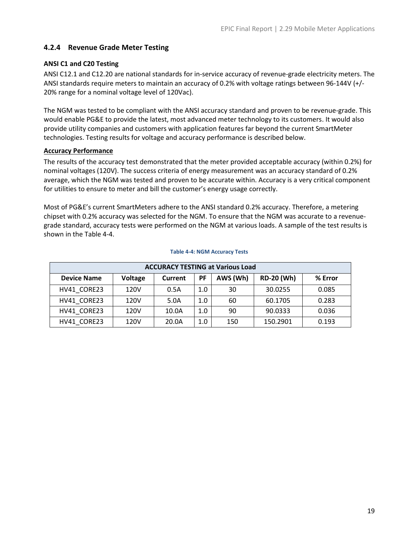## <span id="page-22-0"></span>**4.2.4 Revenue Grade Meter Testing**

### <span id="page-22-1"></span>**ANSI C1 and C20 Testing**

ANSI C12.1 and C12.20 are national standards for in-service accuracy of revenue-grade electricity meters. The ANSI standards require meters to maintain an accuracy of 0.2% with voltage ratings between 96-144V (+/- 20% range for a nominal voltage level of 120Vac).

The NGM was tested to be compliant with the ANSI accuracy standard and proven to be revenue-grade. This would enable PG&E to provide the latest, most advanced meter technology to its customers. It would also provide utility companies and customers with application features far beyond the current SmartMeter technologies. Testing results for voltage and accuracy performance is described below.

#### **Accuracy Performance**

The results of the accuracy test demonstrated that the meter provided acceptable accuracy (within 0.2%) for nominal voltages (120V). The success criteria of energy measurement was an accuracy standard of 0.2% average, which the NGM was tested and proven to be accurate within. Accuracy is a very critical component for utilities to ensure to meter and bill the customer's energy usage correctly.

Most of PG&E's current SmartMeters adhere to the ANSI standard 0.2% accuracy. Therefore, a metering chipset with 0.2% accuracy was selected for the NGM. To ensure that the NGM was accurate to a revenuegrade standard, accuracy tests were performed on the NGM at various loads. A sample of the test results is shown in the Table 4-4.

<span id="page-22-2"></span>

| <b>ACCURACY TESTING at Various Load</b> |                |         |     |          |                   |         |
|-----------------------------------------|----------------|---------|-----|----------|-------------------|---------|
| <b>Device Name</b>                      | <b>Voltage</b> | Current | РF  | AWS (Wh) | <b>RD-20 (Wh)</b> | % Error |
| HV41 CORE23                             | 120V           | 0.5A    | 1.0 | 30       | 30.0255           | 0.085   |
| HV41 CORE23                             | 120V           | 5.0A    | 1.0 | 60       | 60.1705           | 0.283   |
| HV41_CORE23                             | 120V           | 10.0A   | 1.0 | 90       | 90.0333           | 0.036   |
| HV41 CORE23                             | 120V           | 20.0A   | 1.0 | 150      | 150.2901          | 0.193   |

#### **Table 4-4: NGM Accuracy Tests**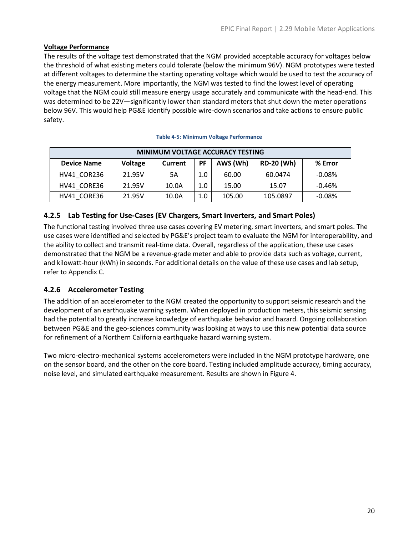### **Voltage Performance**

The results of the voltage test demonstrated that the NGM provided acceptable accuracy for voltages below the threshold of what existing meters could tolerate (below the minimum 96V). NGM prototypes were tested at different voltages to determine the starting operating voltage which would be used to test the accuracy of the energy measurement. More importantly, the NGM was tested to find the lowest level of operating voltage that the NGM could still measure energy usage accurately and communicate with the head-end. This was determined to be 22V—significantly lower than standard meters that shut down the meter operations below 96V. This would help PG&E identify possible wire-down scenarios and take actions to ensure public safety.

<span id="page-23-2"></span>

| <b>MINIMUM VOLTAGE ACCURACY TESTING</b> |                |         |     |          |                   |           |
|-----------------------------------------|----------------|---------|-----|----------|-------------------|-----------|
| <b>Device Name</b>                      | <b>Voltage</b> | Current | PF  | AWS (Wh) | <b>RD-20 (Wh)</b> | % Error   |
| HV41 COR236                             | 21.95V         | 5A      | 1.0 | 60.00    | 60.0474           | $-0.08\%$ |
| HV41 CORE36                             | 21.95V         | 10.0A   | 1.0 | 15.00    | 15.07             | $-0.46%$  |
| HV41 CORE36                             | 21.95V         | 10.0A   | 1.0 | 105.00   | 105.0897          | $-0.08%$  |

#### **Table 4-5: Minimum Voltage Performance**

## <span id="page-23-0"></span>**4.2.5 Lab Testing for Use-Cases (EV Chargers, Smart Inverters, and Smart Poles)**

The functional testing involved three use cases covering EV metering, smart inverters, and smart poles. The use cases were identified and selected by PG&E's project team to evaluate the NGM for interoperability, and the ability to collect and transmit real-time data. Overall, regardless of the application, these use cases demonstrated that the NGM be a revenue-grade meter and able to provide data such as voltage, current, and kilowatt-hour (kWh) in seconds. For additional details on the value of these use cases and lab setup, refer to Appendix C.

## <span id="page-23-1"></span>**4.2.6 Accelerometer Testing**

The addition of an accelerometer to the NGM created the opportunity to support seismic research and the development of an earthquake warning system. When deployed in production meters, this seismic sensing had the potential to greatly increase knowledge of earthquake behavior and hazard. Ongoing collaboration between PG&E and the geo-sciences community was looking at ways to use this new potential data source for refinement of a Northern California earthquake hazard warning system.

Two micro-electro-mechanical systems accelerometers were included in the NGM prototype hardware, one on the sensor board, and the other on the core board. Testing included amplitude accuracy, timing accuracy, noise level, and simulated earthquake measurement. Results are shown in Figure 4.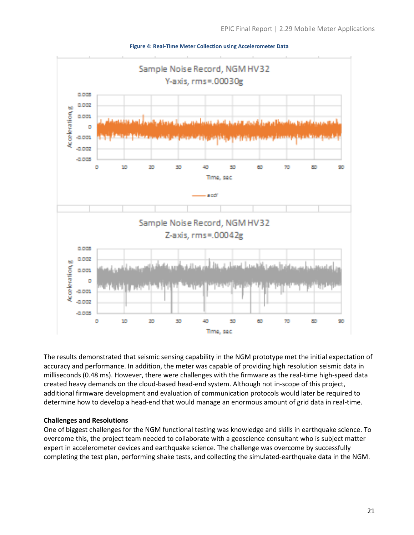



The results demonstrated that seismic sensing capability in the NGM prototype met the initial expectation of accuracy and performance. In addition, the meter was capable of providing high resolution seismic data in milliseconds (0.48 ms). However, there were challenges with the firmware as the real-time high-speed data created heavy demands on the cloud-based head-end system. Although not in-scope of this project, additional firmware development and evaluation of communication protocols would later be required to determine how to develop a head-end that would manage an enormous amount of grid data in real-time.

#### **Challenges and Resolutions**

One of biggest challenges for the NGM functional testing was knowledge and skills in earthquake science. To overcome this, the project team needed to collaborate with a geoscience consultant who is subject matter expert in accelerometer devices and earthquake science. The challenge was overcome by successfully completing the test plan, performing shake tests, and collecting the simulated-earthquake data in the NGM.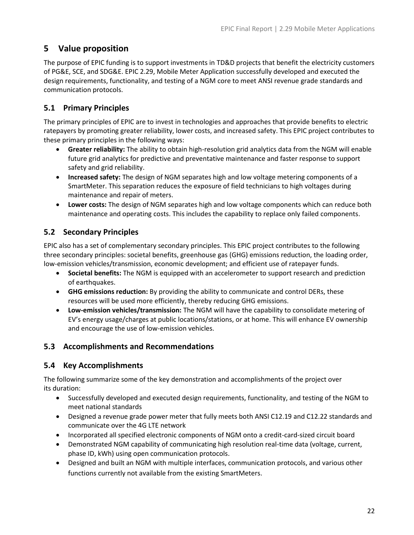## <span id="page-25-0"></span>**5 Value proposition**

The purpose of EPIC funding is to support investments in TD&D projects that benefit the electricity customers of PG&E, SCE, and SDG&E. EPIC 2.29, Mobile Meter Application successfully developed and executed the design requirements, functionality, and testing of a NGM core to meet ANSI revenue grade standards and communication protocols.

## <span id="page-25-1"></span>**5.1 Primary Principles**

The primary principles of EPIC are to invest in technologies and approaches that provide benefits to electric ratepayers by promoting greater reliability, lower costs, and increased safety. This EPIC project contributes to these primary principles in the following ways:

- **Greater reliability:** The ability to obtain high-resolution grid analytics data from the NGM will enable future grid analytics for predictive and preventative maintenance and faster response to support safety and grid reliability.
- **Increased safety:** The design of NGM separates high and low voltage metering components of a SmartMeter. This separation reduces the exposure of field technicians to high voltages during maintenance and repair of meters.
- **Lower costs:** The design of NGM separates high and low voltage components which can reduce both maintenance and operating costs. This includes the capability to replace only failed components.

## <span id="page-25-2"></span>**5.2 Secondary Principles**

EPIC also has a set of complementary secondary principles. This EPIC project contributes to the following three secondary principles: societal benefits, greenhouse gas (GHG) emissions reduction, the loading order, low-emission vehicles/transmission, economic development; and efficient use of ratepayer funds.

- **Societal benefits:** The NGM is equipped with an accelerometer to support research and prediction of earthquakes.
- **GHG emissions reduction:** By providing the ability to communicate and control DERs, these resources will be used more efficiently, thereby reducing GHG emissions.
- **Low-emission vehicles/transmission:** The NGM will have the capability to consolidate metering of EV's energy usage/charges at public locations/stations, or at home. This will enhance EV ownership and encourage the use of low-emission vehicles.

## <span id="page-25-3"></span>**5.3 Accomplishments and Recommendations**

## <span id="page-25-4"></span>**5.4 Key Accomplishments**

The following summarize some of the key demonstration and accomplishments of the project over its duration:

- Successfully developed and executed design requirements, functionality, and testing of the NGM to meet national standards
- Designed a revenue grade power meter that fully meets both ANSI C12.19 and C12.22 standards and communicate over the 4G LTE network
- Incorporated all specified electronic components of NGM onto a credit-card-sized circuit board
- Demonstrated NGM capability of communicating high resolution real-time data (voltage, current, phase ID, kWh) using open communication protocols.
- Designed and built an NGM with multiple interfaces, communication protocols, and various other functions currently not available from the existing SmartMeters.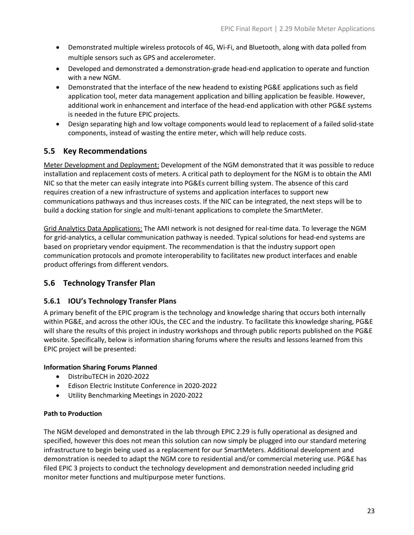- Demonstrated multiple wireless protocols of 4G, Wi-Fi, and Bluetooth, along with data polled from multiple sensors such as GPS and accelerometer.
- Developed and demonstrated a demonstration-grade head-end application to operate and function with a new NGM.
- Demonstrated that the interface of the new headend to existing PG&E applications such as field application tool, meter data management application and billing application be feasible. However, additional work in enhancement and interface of the head-end application with other PG&E systems is needed in the future EPIC projects.
- Design separating high and low voltage components would lead to replacement of a failed solid-state components, instead of wasting the entire meter, which will help reduce costs.

## <span id="page-26-0"></span>**5.5 Key Recommendations**

Meter Development and Deployment: Development of the NGM demonstrated that it was possible to reduce installation and replacement costs of meters. A critical path to deployment for the NGM is to obtain the AMI NIC so that the meter can easily integrate into PG&Es current billing system. The absence of this card requires creation of a new infrastructure of systems and application interfaces to support new communications pathways and thus increases costs. If the NIC can be integrated, the next steps will be to build a docking station for single and multi-tenant applications to complete the SmartMeter.

Grid Analytics Data Applications: The AMI network is not designed for real-time data. To leverage the NGM for grid-analytics, a cellular communication pathway is needed. Typical solutions for head-end systems are based on proprietary vendor equipment. The recommendation is that the industry support open communication protocols and promote interoperability to facilitates new product interfaces and enable product offerings from different vendors.

## <span id="page-26-1"></span>**5.6 Technology Transfer Plan**

## <span id="page-26-2"></span>**5.6.1 IOU's Technology Transfer Plans**

A primary benefit of the EPIC program is the technology and knowledge sharing that occurs both internally within PG&E, and across the other IOUs, the CEC and the industry. To facilitate this knowledge sharing, PG&E will share the results of this project in industry workshops and through public reports published on the PG&E website. Specifically, below is information sharing forums where the results and lessons learned from this EPIC project will be presented:

## **Information Sharing Forums Planned**

- DistribuTECH in 2020-2022
- Edison Electric Institute Conference in 2020-2022
- Utility Benchmarking Meetings in 2020-2022

### **Path to Production**

The NGM developed and demonstrated in the lab through EPIC 2.29 is fully operational as designed and specified, however this does not mean this solution can now simply be plugged into our standard metering infrastructure to begin being used as a replacement for our SmartMeters. Additional development and demonstration is needed to adapt the NGM core to residential and/or commercial metering use. PG&E has filed EPIC 3 projects to conduct the technology development and demonstration needed including grid monitor meter functions and multipurpose meter functions.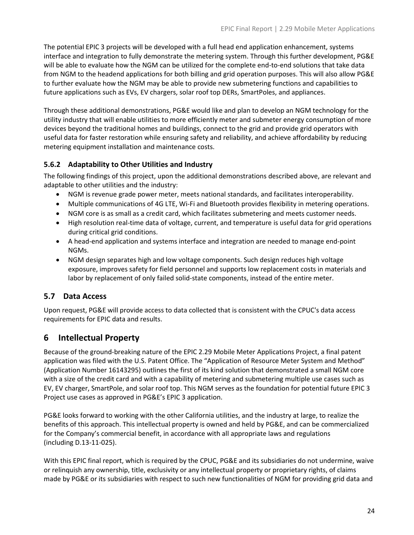The potential EPIC 3 projects will be developed with a full head end application enhancement, systems interface and integration to fully demonstrate the metering system. Through this further development, PG&E will be able to evaluate how the NGM can be utilized for the complete end-to-end solutions that take data from NGM to the headend applications for both billing and grid operation purposes. This will also allow PG&E to further evaluate how the NGM may be able to provide new submetering functions and capabilities to future applications such as EVs, EV chargers, solar roof top DERs, SmartPoles, and appliances.

Through these additional demonstrations, PG&E would like and plan to develop an NGM technology for the utility industry that will enable utilities to more efficiently meter and submeter energy consumption of more devices beyond the traditional homes and buildings, connect to the grid and provide grid operators with useful data for faster restoration while ensuring safety and reliability, and achieve affordability by reducing metering equipment installation and maintenance costs.

## <span id="page-27-0"></span>**5.6.2 Adaptability to Other Utilities and Industry**

The following findings of this project, upon the additional demonstrations described above, are relevant and adaptable to other utilities and the industry:

- NGM is revenue grade power meter, meets national standards, and facilitates interoperability.
- Multiple communications of 4G LTE, Wi-Fi and Bluetooth provides flexibility in metering operations.
- NGM core is as small as a credit card, which facilitates submetering and meets customer needs.
- High resolution real-time data of voltage, current, and temperature is useful data for grid operations during critical grid conditions.
- A head-end application and systems interface and integration are needed to manage end-point NGMs.
- NGM design separates high and low voltage components. Such design reduces high voltage exposure, improves safety for field personnel and supports low replacement costs in materials and labor by replacement of only failed solid-state components, instead of the entire meter.

## <span id="page-27-1"></span>**5.7 Data Access**

Upon request, PG&E will provide access to data collected that is consistent with the CPUC's data access requirements for EPIC data and results.

## <span id="page-27-2"></span>**6 Intellectual Property**

Because of the ground-breaking nature of the EPIC 2.29 Mobile Meter Applications Project, a final patent application was filed with the U.S. Patent Office. The "Application of Resource Meter System and Method" (Application Number 16143295) outlines the first of its kind solution that demonstrated a small NGM core with a size of the credit card and with a capability of metering and submetering multiple use cases such as EV, EV charger, SmartPole, and solar roof top. This NGM serves as the foundation for potential future EPIC 3 Project use cases as approved in PG&E's EPIC 3 application.

PG&E looks forward to working with the other California utilities, and the industry at large, to realize the benefits of this approach. This intellectual property is owned and held by PG&E, and can be commercialized for the Company's commercial benefit, in accordance with all appropriate laws and regulations (including D.13-11-025).

With this EPIC final report, which is required by the CPUC, PG&E and its subsidiaries do not undermine, waive or relinquish any ownership, title, exclusivity or any intellectual property or proprietary rights, of claims made by PG&E or its subsidiaries with respect to such new functionalities of NGM for providing grid data and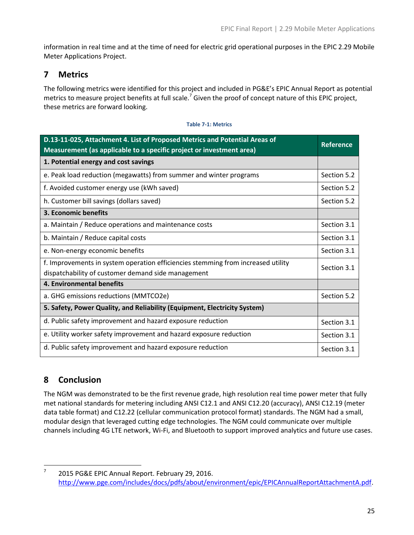information in real time and at the time of need for electric grid operational purposes in the EPIC 2.29 Mobile Meter Applications Project.

## <span id="page-28-0"></span>**7 Metrics**

The following metrics were identified for this project and included in PG&E's EPIC Annual Report as potential metrics to measure project benefits at full scale.<sup>7</sup> Given the proof of concept nature of this EPIC project, these metrics are forward looking.

|  | <b>Table 7-1: Metrics</b> |  |
|--|---------------------------|--|
|  |                           |  |

<span id="page-28-2"></span>

| D.13-11-025, Attachment 4. List of Proposed Metrics and Potential Areas of<br>Measurement (as applicable to a specific project or investment area) |             |  |
|----------------------------------------------------------------------------------------------------------------------------------------------------|-------------|--|
| 1. Potential energy and cost savings                                                                                                               |             |  |
| e. Peak load reduction (megawatts) from summer and winter programs                                                                                 | Section 5.2 |  |
| f. Avoided customer energy use (kWh saved)                                                                                                         | Section 5.2 |  |
| h. Customer bill savings (dollars saved)                                                                                                           | Section 5.2 |  |
| 3. Economic benefits                                                                                                                               |             |  |
| a. Maintain / Reduce operations and maintenance costs                                                                                              | Section 3.1 |  |
| b. Maintain / Reduce capital costs                                                                                                                 | Section 3.1 |  |
| e. Non-energy economic benefits                                                                                                                    | Section 3.1 |  |
| f. Improvements in system operation efficiencies stemming from increased utility<br>dispatchability of customer demand side management             |             |  |
| 4. Environmental benefits                                                                                                                          |             |  |
| a. GHG emissions reductions (MMTCO2e)                                                                                                              | Section 5.2 |  |
| 5. Safety, Power Quality, and Reliability (Equipment, Electricity System)                                                                          |             |  |
| d. Public safety improvement and hazard exposure reduction                                                                                         | Section 3.1 |  |
| e. Utility worker safety improvement and hazard exposure reduction                                                                                 | Section 3.1 |  |
| d. Public safety improvement and hazard exposure reduction                                                                                         |             |  |

## <span id="page-28-1"></span>**8 Conclusion**

The NGM was demonstrated to be the first revenue grade, high resolution real time power meter that fully met national standards for metering including ANSI C12.1 and ANSI C12.20 (accuracy), ANSI C12.19 (meter data table format) and C12.22 (cellular communication protocol format) standards. The NGM had a small, modular design that leveraged cutting edge technologies. The NGM could communicate over multiple channels including 4G LTE network, Wi-Fi, and Bluetooth to support improved analytics and future use cases.

<sup>-&</sup>lt;br>7 2015 PG&E EPIC Annual Report. February 29, 2016. [http://www.pge.com/includes/docs/pdfs/about/environment/epic/EPICAnnualReportAttachmentA.pdf.](http://www.pge.com/includes/docs/pdfs/about/environment/epic/EPICAnnualReportAttachmentA.pdf)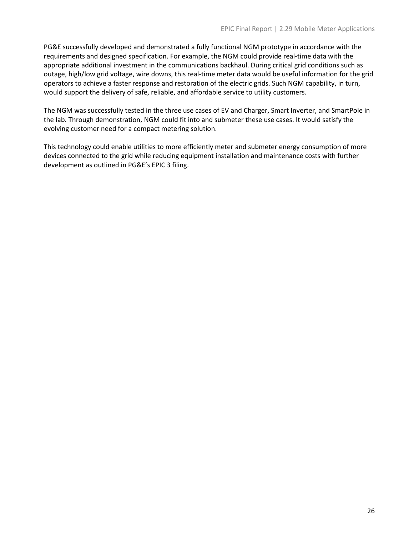PG&E successfully developed and demonstrated a fully functional NGM prototype in accordance with the requirements and designed specification. For example, the NGM could provide real-time data with the appropriate additional investment in the communications backhaul. During critical grid conditions such as outage, high/low grid voltage, wire downs, this real-time meter data would be useful information for the grid operators to achieve a faster response and restoration of the electric grids. Such NGM capability, in turn, would support the delivery of safe, reliable, and affordable service to utility customers.

The NGM was successfully tested in the three use cases of EV and Charger, Smart Inverter, and SmartPole in the lab. Through demonstration, NGM could fit into and submeter these use cases. It would satisfy the evolving customer need for a compact metering solution.

This technology could enable utilities to more efficiently meter and submeter energy consumption of more devices connected to the grid while reducing equipment installation and maintenance costs with further development as outlined in PG&E's EPIC 3 filing.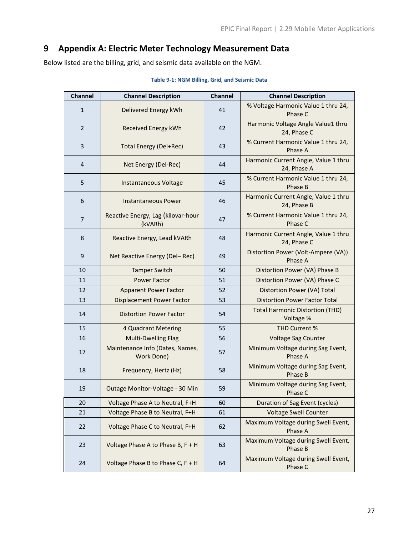## <span id="page-30-0"></span>**9 Appendix A: Electric Meter Technology Measurement Data**

<span id="page-30-1"></span>Below listed are the billing, grid, and seismic data available on the NGM.

| Channel        | <b>Channel Description</b>                    | Channel | <b>Channel Description</b>                          |  |
|----------------|-----------------------------------------------|---------|-----------------------------------------------------|--|
| $\mathbf{1}$   | Delivered Energy kWh                          | 41      | % Voltage Harmonic Value 1 thru 24,<br>Phase C      |  |
| $\overline{2}$ | Received Energy kWh                           | 42      | Harmonic Voltage Angle Value1 thru<br>24, Phase C   |  |
| 3              | <b>Total Energy (Del+Rec)</b>                 | 43      | % Current Harmonic Value 1 thru 24,<br>Phase A      |  |
| $\overline{4}$ | Net Energy (Del-Rec)                          | 44      | Harmonic Current Angle, Value 1 thru<br>24, Phase A |  |
| 5              | Instantaneous Voltage                         | 45      | % Current Harmonic Value 1 thru 24,<br>Phase B      |  |
| 6              | <b>Instantaneous Power</b>                    | 46      | Harmonic Current Angle, Value 1 thru<br>24, Phase B |  |
| 7              | Reactive Energy, Lag (kilovar-hour<br>(kVARh) | 47      | % Current Harmonic Value 1 thru 24,<br>Phase C      |  |
| 8              | Reactive Energy, Lead kVARh                   | 48      | Harmonic Current Angle, Value 1 thru<br>24, Phase C |  |
| 9              | Net Reactive Energy (Del-Rec)                 | 49      | Distortion Power (Volt-Ampere (VA))<br>Phase A      |  |
| 10             | <b>Tamper Switch</b>                          | 50      | Distortion Power (VA) Phase B                       |  |
| 11             | <b>Power Factor</b>                           | 51      | Distortion Power (VA) Phase C                       |  |
| 12             | <b>Apparent Power Factor</b>                  | 52      | Distortion Power (VA) Total                         |  |
| 13             | <b>Displacement Power Factor</b>              | 53      | <b>Distortion Power Factor Total</b>                |  |
| 14             | <b>Distortion Power Factor</b>                | 54      | <b>Total Harmonic Distortion (THD)</b><br>Voltage % |  |
| 15             | 4 Quadrant Metering                           | 55      | <b>THD Current %</b>                                |  |
| 16             | <b>Multi-Dwelling Flag</b>                    | 56      | Voltage Sag Counter                                 |  |
| 17             | Maintenance Info (Dates, Names,<br>Work Done) | 57      | Minimum Voltage during Sag Event,<br>Phase A        |  |
| 18             | Frequency, Hertz (Hz)                         | 58      | Minimum Voltage during Sag Event,<br>Phase B        |  |
| 19             | Outage Monitor-Voltage - 30 Min               | 59      | Minimum Voltage during Sag Event,<br>Phase C        |  |
| 20             | Voltage Phase A to Neutral, F+H               | 60      | Duration of Sag Event (cycles)                      |  |
| 21             | Voltage Phase B to Neutral, F+H               | 61      | <b>Voltage Swell Counter</b>                        |  |
| 22             | Voltage Phase C to Neutral, F+H               | 62      | Maximum Voltage during Swell Event,<br>Phase A      |  |
| 23             | Voltage Phase A to Phase B, F + H             | 63      | Maximum Voltage during Swell Event,<br>Phase B      |  |
| 24             | Voltage Phase B to Phase C, F + H             | 64      | Maximum Voltage during Swell Event,<br>Phase C      |  |

#### **Table 9-1: NGM Billing, Grid, and Seismic Data**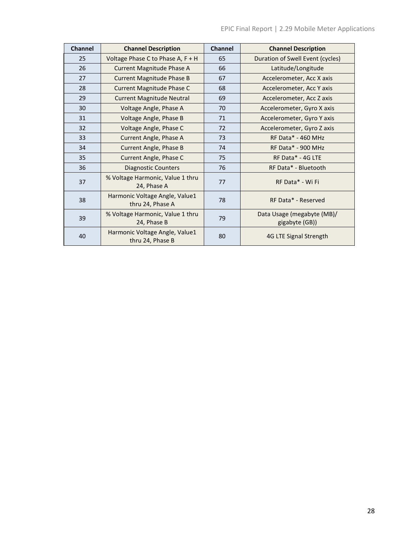| <b>Channel</b> | <b>Channel Description</b>                         | <b>Channel</b> | <b>Channel Description</b>                   |  |
|----------------|----------------------------------------------------|----------------|----------------------------------------------|--|
| 25             | Voltage Phase C to Phase A, $F + H$                | 65             | Duration of Swell Event (cycles)             |  |
| 26             | <b>Current Magnitude Phase A</b>                   | 66             | Latitude/Longitude                           |  |
| 27             | <b>Current Magnitude Phase B</b>                   | 67             | Accelerometer, Acc X axis                    |  |
| 28             | <b>Current Magnitude Phase C</b>                   | 68             | Accelerometer, Acc Y axis                    |  |
| 29             | <b>Current Magnitude Neutral</b>                   | 69             | Accelerometer, Acc Z axis                    |  |
| 30             | Voltage Angle, Phase A                             | 70             | Accelerometer, Gyro X axis                   |  |
| 31             | Voltage Angle, Phase B                             | 71             | Accelerometer, Gyro Y axis                   |  |
| 32             | Voltage Angle, Phase C                             | 72             | Accelerometer, Gyro Z axis                   |  |
| 33             | Current Angle, Phase A                             | 73             | <b>RF Data* - 460 MHz</b>                    |  |
| 34             | Current Angle, Phase B                             | 74             | RF Data* - 900 MHz                           |  |
| 35             | Current Angle, Phase C                             | 75             | RF Data* - 4G LTE                            |  |
| 36             | <b>Diagnostic Counters</b>                         | 76             | RF Data* - Bluetooth                         |  |
| 37             | % Voltage Harmonic, Value 1 thru<br>24, Phase A    | 77             | RF Data* - Wi Fi                             |  |
| 38             | Harmonic Voltage Angle, Value1<br>thru 24, Phase A | 78             | RF Data* - Reserved                          |  |
| 39             | % Voltage Harmonic, Value 1 thru<br>24, Phase B    | 79             | Data Usage (megabyte (MB)/<br>gigabyte (GB)) |  |
| 40             | Harmonic Voltage Angle, Value1<br>thru 24, Phase B | 80             | 4G LTE Signal Strength                       |  |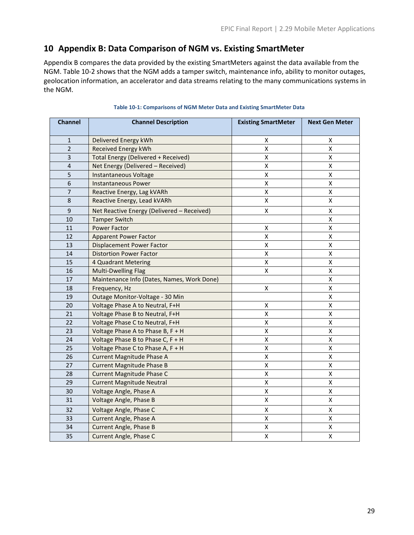## <span id="page-32-0"></span>**Appendix B: Data Comparison of NGM vs. Existing SmartMeter**

Appendix B compares the data provided by the existing SmartMeters against the data available from the NGM. Table 10-2 shows that the NGM adds a tamper switch, maintenance info, ability to monitor outages, geolocation information, an accelerator and data streams relating to the many communications systems in the NGM.

<span id="page-32-1"></span>

| <b>Channel</b> | <b>Channel Description</b>                 | <b>Existing SmartMeter</b> | <b>Next Gen Meter</b> |
|----------------|--------------------------------------------|----------------------------|-----------------------|
| $\mathbf 1$    | Delivered Energy kWh                       | Χ                          | Χ                     |
| $\overline{2}$ | Received Energy kWh                        | $\mathsf{x}$               | X                     |
| 3              | <b>Total Energy (Delivered + Received)</b> | $\pmb{\mathsf{X}}$         | Χ                     |
| $\overline{4}$ | Net Energy (Delivered - Received)          | $\pmb{\mathsf{X}}$         | X                     |
| 5              | Instantaneous Voltage                      | $\pmb{\mathsf{X}}$         | X                     |
| 6              | <b>Instantaneous Power</b>                 | $\mathsf{x}$               | X                     |
| $\overline{7}$ | Reactive Energy, Lag kVARh                 | $\pmb{\mathsf{X}}$         | X                     |
| 8              | Reactive Energy, Lead kVARh                | $\pmb{\mathsf{X}}$         | X                     |
| 9              | Net Reactive Energy (Delivered - Received) | $\pmb{\mathsf{X}}$         | X                     |
| 10             | <b>Tamper Switch</b>                       |                            | X                     |
| 11             | <b>Power Factor</b>                        | $\pmb{\mathsf{X}}$         | Χ                     |
| 12             | <b>Apparent Power Factor</b>               | Χ                          | Χ                     |
| 13             | <b>Displacement Power Factor</b>           | X                          | X                     |
| 14             | <b>Distortion Power Factor</b>             | $\pmb{\mathsf{X}}$         | Χ                     |
| 15             | 4 Quadrant Metering                        | $\pmb{\mathsf{X}}$         | Χ                     |
| 16             | <b>Multi-Dwelling Flag</b>                 | $\pmb{\mathsf{X}}$         | X                     |
| 17             | Maintenance Info (Dates, Names, Work Done) |                            | X                     |
| 18             | Frequency, Hz                              | $\pmb{\mathsf{X}}$         | X                     |
| 19             | Outage Monitor-Voltage - 30 Min            |                            | Χ                     |
| 20             | Voltage Phase A to Neutral, F+H            | Χ                          | Χ                     |
| 21             | Voltage Phase B to Neutral, F+H            | Χ                          | Χ                     |
| 22             | Voltage Phase C to Neutral, F+H            | Χ                          | Χ                     |
| 23             | Voltage Phase A to Phase B, F + H          | Χ                          | Χ                     |
| 24             | Voltage Phase B to Phase C, F + H          | X                          | Χ                     |
| 25             | Voltage Phase C to Phase A, F + H          | $\pmb{\mathsf{X}}$         | X                     |
| 26             | <b>Current Magnitude Phase A</b>           | $\pmb{\mathsf{X}}$         | X                     |
| 27             | <b>Current Magnitude Phase B</b>           | $\pmb{\mathsf{X}}$         | Χ                     |
| 28             | <b>Current Magnitude Phase C</b>           | $\pmb{\mathsf{X}}$         | Χ                     |
| 29             | <b>Current Magnitude Neutral</b>           | X                          | Χ                     |
| 30             | Voltage Angle, Phase A                     | X                          | Χ                     |
| 31             | Voltage Angle, Phase B                     | X                          | X                     |
| 32             | Voltage Angle, Phase C                     | Χ                          | X                     |
| 33             | Current Angle, Phase A                     | $\pmb{\mathsf{X}}$         | Χ                     |
| 34             | Current Angle, Phase B                     | Χ                          | Χ                     |
| 35             | Current Angle, Phase C                     | $\pmb{\mathsf{X}}$         | Χ                     |

#### **Table 10-1: Comparisons of NGM Meter Data and Existing SmartMeter Data**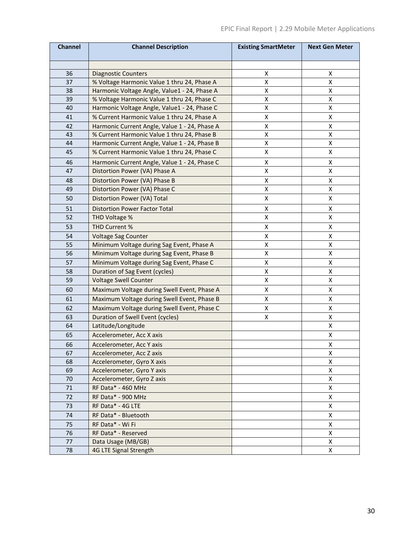| <b>Channel</b> | <b>Channel Description</b>                                       | <b>Existing SmartMeter</b> | <b>Next Gen Meter</b> |
|----------------|------------------------------------------------------------------|----------------------------|-----------------------|
|                |                                                                  |                            |                       |
| 36             | <b>Diagnostic Counters</b>                                       | X                          | X                     |
| 37             | % Voltage Harmonic Value 1 thru 24, Phase A                      | X                          | x                     |
| 38             | Harmonic Voltage Angle, Value1 - 24, Phase A                     | X                          | X                     |
| 39             | % Voltage Harmonic Value 1 thru 24, Phase C                      | X                          | Χ                     |
| 40             | Harmonic Voltage Angle, Value1 - 24, Phase C                     | X                          | X                     |
| 41             | % Current Harmonic Value 1 thru 24, Phase A                      | X                          | X                     |
| 42             | Harmonic Current Angle, Value 1 - 24, Phase A                    | X                          | X                     |
| 43             | % Current Harmonic Value 1 thru 24, Phase B                      | $\pmb{\mathsf{X}}$         | X                     |
| 44             | Harmonic Current Angle, Value 1 - 24, Phase B                    | Χ                          | Χ                     |
| 45             | % Current Harmonic Value 1 thru 24, Phase C                      | $\pmb{\mathsf{X}}$         | Χ                     |
| 46             | Harmonic Current Angle, Value 1 - 24, Phase C                    | х                          | X                     |
| 47             | Distortion Power (VA) Phase A                                    | $\pmb{\mathsf{X}}$         | X                     |
| 48             | Distortion Power (VA) Phase B                                    | Χ                          | Χ                     |
| 49             | Distortion Power (VA) Phase C                                    | х                          | X                     |
| 50             | Distortion Power (VA) Total                                      | X                          | Χ                     |
| 51             | <b>Distortion Power Factor Total</b>                             | Χ                          | Χ                     |
| 52             | THD Voltage %                                                    | X                          | Χ                     |
| 53             | THD Current %                                                    | Χ                          | X                     |
| 54             |                                                                  | X                          | Χ                     |
| 55             | Voltage Sag Counter<br>Minimum Voltage during Sag Event, Phase A | X                          | X                     |
| 56             | Minimum Voltage during Sag Event, Phase B                        | Χ                          | X                     |
| 57             | Minimum Voltage during Sag Event, Phase C                        | X                          | Χ                     |
| 58             | Duration of Sag Event (cycles)                                   | $\pmb{\mathsf{X}}$         | Χ                     |
| 59             | <b>Voltage Swell Counter</b>                                     | $\pmb{\mathsf{X}}$         | X                     |
|                |                                                                  |                            |                       |
| 60             | Maximum Voltage during Swell Event, Phase A                      | X                          | X                     |
| 61             | Maximum Voltage during Swell Event, Phase B                      | Χ                          | X                     |
| 62             | Maximum Voltage during Swell Event, Phase C                      | $\pmb{\mathsf{X}}$         | X                     |
| 63             | Duration of Swell Event (cycles)                                 | $\pmb{\mathsf{X}}$         | Χ                     |
| 64             | Latitude/Longitude                                               |                            | Χ                     |
| 65             | Accelerometer, Acc X axis                                        |                            | Χ                     |
| 66             | Accelerometer, Acc Y axis                                        |                            | X                     |
| 67             | Accelerometer, Acc Z axis                                        |                            | X                     |
| 68             | Accelerometer, Gyro X axis                                       |                            | X                     |
| 69             | Accelerometer, Gyro Y axis                                       |                            | X                     |
| 70             | Accelerometer, Gyro Z axis                                       |                            | X                     |
| 71             | RF Data* - 460 MHz                                               |                            | X                     |
| 72             | RF Data* - 900 MHz                                               |                            | X                     |
| 73             | RF Data* - 4G LTE                                                |                            | X                     |
| 74             | RF Data* - Bluetooth                                             |                            | X                     |
| 75             | RF Data* - Wi Fi                                                 |                            | X                     |
| 76             | RF Data* - Reserved                                              |                            | X                     |
| 77             | Data Usage (MB/GB)                                               |                            | Χ                     |
| 78             | <b>4G LTE Signal Strength</b>                                    |                            | Χ                     |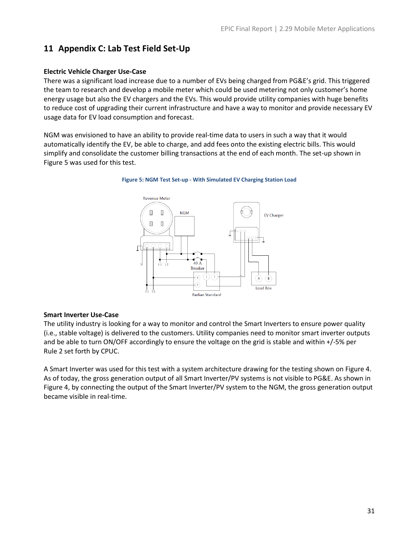## <span id="page-34-0"></span>**11 Appendix C: Lab Test Field Set-Up**

### **Electric Vehicle Charger Use-Case**

There was a significant load increase due to a number of EVs being charged from PG&E's grid. This triggered the team to research and develop a mobile meter which could be used metering not only customer's home energy usage but also the EV chargers and the EVs. This would provide utility companies with huge benefits to reduce cost of upgrading their current infrastructure and have a way to monitor and provide necessary EV usage data for EV load consumption and forecast.

NGM was envisioned to have an ability to provide real-time data to users in such a way that it would automatically identify the EV, be able to charge, and add fees onto the existing electric bills. This would simplify and consolidate the customer billing transactions at the end of each month. The set-up shown in Figure 5 was used for this test.





### **Smart Inverter Use-Case**

The utility industry is looking for a way to monitor and control the Smart Inverters to ensure power quality (i.e., stable voltage) is delivered to the customers. Utility companies need to monitor smart inverter outputs and be able to turn ON/OFF accordingly to ensure the voltage on the grid is stable and within +/-5% per Rule 2 set forth by CPUC.

A Smart Inverter was used for this test with a system architecture drawing for the testing shown on Figure 4. As of today, the gross generation output of all Smart Inverter/PV systems is not visible to PG&E. As shown in Figure 4, by connecting the output of the Smart Inverter/PV system to the NGM, the gross generation output became visible in real-time.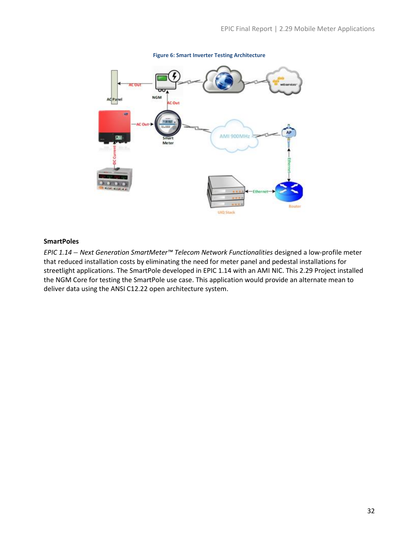

#### **Figure 6: Smart Inverter Testing Architecture**

#### **SmartPoles**

*EPIC 1.14 – Next Generation SmartMeter™ Telecom Network Functionalities* designed a low-profile meter that reduced installation costs by eliminating the need for meter panel and pedestal installations for streetlight applications. The SmartPole developed in EPIC 1.14 with an AMI NIC. This 2.29 Project installed the NGM Core for testing the SmartPole use case. This application would provide an alternate mean to deliver data using the ANSI C12.22 open architecture system.